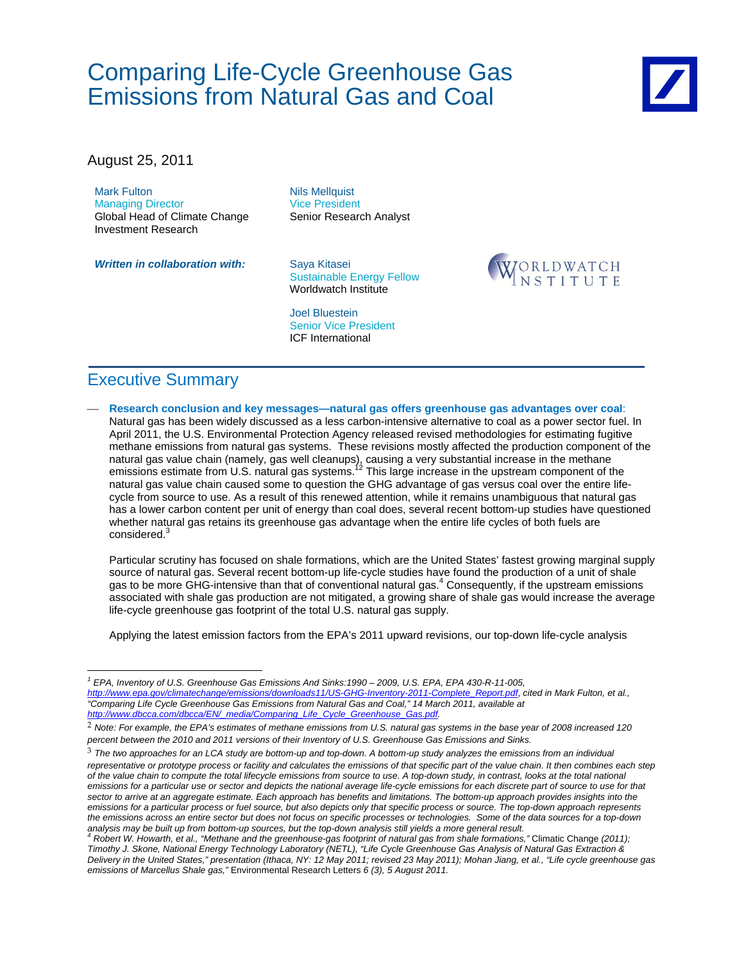August 25, 2011

Mark Fulton Managing Director Global Head of Climate Change Investment Research

**Written in collaboration with:** Saya Kitasei

Nils Mellquist Vice President Senior Research Analyst

Sustainable Energy Fellow Worldwatch Institute

Joel Bluestein Senior Vice President ICF International



# Executive Summary

 $\overline{a}$ 

 **Research conclusion and key messages—natural gas offers greenhouse gas advantages over coal**: Natural gas has been widely discussed as a less carbon-intensive alternative to coal as a power sector fuel. In April 2011, the U.S. Environmental Protection Agency released revised methodologies for estimating fugitive methane emissions from natural gas systems. These revisions mostly affected the production component of the natural gas value chain (namely, gas well cleanups), causing a very substantial increase in the methane emissions estimate from U.S. natural gas systems.<sup>12</sup> This large increase in the upstream component of the natural gas value chain caused some to question the GHG advantage of gas versus coal over the entire lifecycle from source to use. As a result of this renewed attention, while it remains unambiguous that natural gas has a lower carbon content per unit of energy than coal does, several recent bottom-up studies have questioned whether natural gas retains its greenhouse gas advantage when the entire life cycles of both fuels are considered.<sup>3</sup>

Particular scrutiny has focused on shale formations, which are the United States' fastest growing marginal supply source of natural gas. Several recent bottom-up life-cycle studies have found the production of a unit of shale gas to be more GHG-intensive than that of conventional natural gas.<sup>4</sup> Consequently, if the upstream emissions associated with shale gas production are not mitigated, a growing share of shale gas would increase the average life-cycle greenhouse gas footprint of the total U.S. natural gas supply.

Applying the latest emission factors from the EPA's 2011 upward revisions, our top-down life-cycle analysis

*<sup>1</sup> EPA, Inventory of U.S. Greenhouse Gas Emissions And Sinks:1990 – 2009, U.S. EPA, EPA 430-R-11-005, http://www.epa.gov/climatechange/emissions/downloads11/US-GHG-Inventory-2011-Complete\_Report.pdf*, *cited in Mark Fulton, et al., "Comparing Life Cycle Greenhouse Gas Emissions from Natural Gas and Coal," 14 March 2011, available at http://www.dbcca.com/dbcca/EN/\_media/Comparing\_Life\_Cycle\_Greenhouse\_Gas.pdf.* 

<sup>2</sup> *Note: For example, the EPA's estimates of methane emissions from U.S. natural gas systems in the base year of 2008 increased 120 percent between the 2010 and 2011 versions of their Inventory of U.S. Greenhouse Gas Emissions and Sinks.*

<sup>3</sup> *The two approaches for an LCA study are bottom-up and top-down. A bottom-up study analyzes the emissions from an individual*  representative or prototype process or facility and calculates the emissions of that specific part of the value chain. It then combines each step *of the value chain to compute the total lifecycle emissions from source to use. A top-down study, in contrast, looks at the total national emissions for a particular use or sector and depicts the national average life-cycle emissions for each discrete part of source to use for that*  sector to arrive at an aggregate estimate. Each approach has benefits and limitations. The bottom-up approach provides insights into the *emissions for a particular process or fuel source, but also depicts only that specific process or source. The top-down approach represents the emissions across an entire sector but does not focus on specific processes or technologies. Some of the data sources for a top-down analysis may be built up from bottom-up sources, but the top-down analysis still yields a more general result.*

*<sup>4</sup> Robert W. Howarth, et al., "Methane and the greenhouse-gas footprint of natural gas from shale formations,"* Climatic Change *(2011); Timothy J. Skone, National Energy Technology Laboratory (NETL), "Life Cycle Greenhouse Gas Analysis of Natural Gas Extraction & Delivery in the United States," presentation (Ithaca, NY: 12 May 2011; revised 23 May 2011); Mohan Jiang, et al., "Life cycle greenhouse gas emissions of Marcellus Shale gas,"* Environmental Research Letters *6 (3), 5 August 2011.*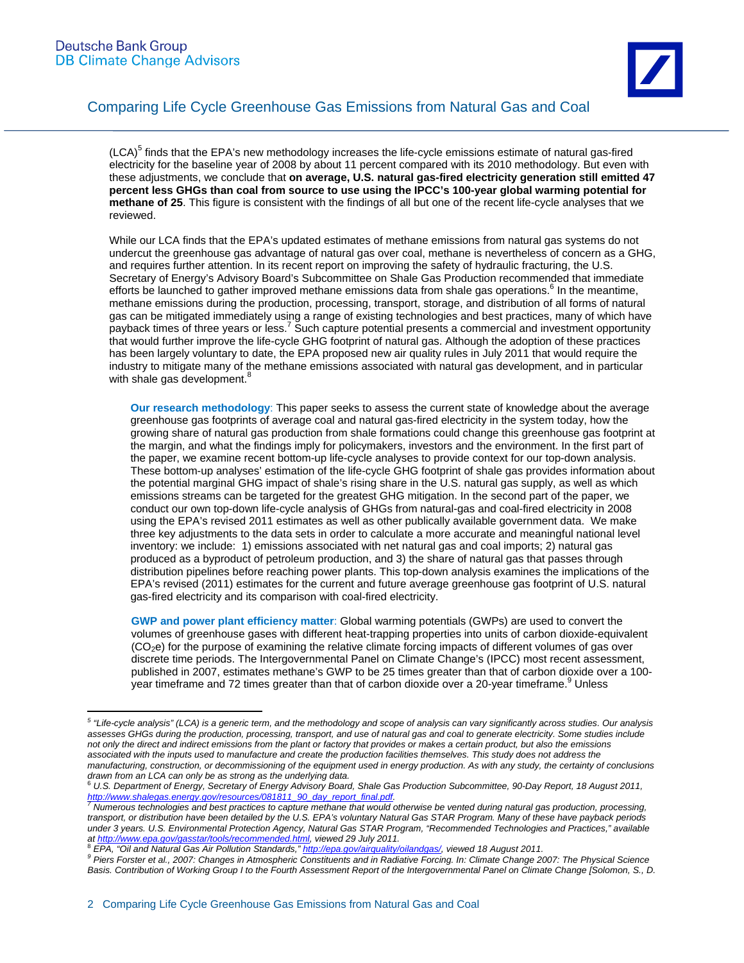

(LCA)<sup>5</sup> finds that the EPA's new methodology increases the life-cycle emissions estimate of natural gas-fired electricity for the baseline year of 2008 by about 11 percent compared with its 2010 methodology. But even with these adjustments, we conclude that **on average, U.S. natural gas-fired electricity generation still emitted 47 percent less GHGs than coal from source to use using the IPCC's 100-year global warming potential for methane of 25**. This figure is consistent with the findings of all but one of the recent life-cycle analyses that we reviewed.

While our LCA finds that the EPA's updated estimates of methane emissions from natural gas systems do not undercut the greenhouse gas advantage of natural gas over coal, methane is nevertheless of concern as a GHG, and requires further attention. In its recent report on improving the safety of hydraulic fracturing, the U.S. Secretary of Energy's Advisory Board's Subcommittee on Shale Gas Production recommended that immediate efforts be launched to gather improved methane emissions data from shale gas operations.<sup>6</sup> In the meantime, methane emissions during the production, processing, transport, storage, and distribution of all forms of natural gas can be mitigated immediately using a range of existing technologies and best practices, many of which have payback times of three years or less.<sup>7</sup> Such capture potential presents a commercial and investment opportunity that would further improve the life-cycle GHG footprint of natural gas. Although the adoption of these practices has been largely voluntary to date, the EPA proposed new air quality rules in July 2011 that would require the industry to mitigate many of the methane emissions associated with natural gas development, and in particular with shale gas development.<sup>8</sup>

**Our research methodology**: This paper seeks to assess the current state of knowledge about the average greenhouse gas footprints of average coal and natural gas-fired electricity in the system today, how the growing share of natural gas production from shale formations could change this greenhouse gas footprint at the margin, and what the findings imply for policymakers, investors and the environment. In the first part of the paper, we examine recent bottom-up life-cycle analyses to provide context for our top-down analysis. These bottom-up analyses' estimation of the life-cycle GHG footprint of shale gas provides information about the potential marginal GHG impact of shale's rising share in the U.S. natural gas supply, as well as which emissions streams can be targeted for the greatest GHG mitigation. In the second part of the paper, we conduct our own top-down life-cycle analysis of GHGs from natural-gas and coal-fired electricity in 2008 using the EPA's revised 2011 estimates as well as other publically available government data. We make three key adjustments to the data sets in order to calculate a more accurate and meaningful national level inventory: we include: 1) emissions associated with net natural gas and coal imports; 2) natural gas produced as a byproduct of petroleum production, and 3) the share of natural gas that passes through distribution pipelines before reaching power plants. This top-down analysis examines the implications of the EPA's revised (2011) estimates for the current and future average greenhouse gas footprint of U.S. natural gas-fired electricity and its comparison with coal-fired electricity.

**GWP and power plant efficiency matter**: Global warming potentials (GWPs) are used to convert the volumes of greenhouse gases with different heat-trapping properties into units of carbon dioxide-equivalent (CO2e) for the purpose of examining the relative climate forcing impacts of different volumes of gas over discrete time periods. The Intergovernmental Panel on Climate Change's (IPCC) most recent assessment, published in 2007, estimates methane's GWP to be 25 times greater than that of carbon dioxide over a 100- .<br>year timeframe and 72 times greater than that of carbon dioxide over a 20-year timeframe.<sup>9</sup> Unless

 *5 "Life-cycle analysis" (LCA) is a generic term, and the methodology and scope of analysis can vary significantly across studies. Our analysis assesses GHGs during the production, processing, transport, and use of natural gas and coal to generate electricity. Some studies include not only the direct and indirect emissions from the plant or factory that provides or makes a certain product, but also the emissions associated with the inputs used to manufacture and create the production facilities themselves. This study does not address the manufacturing, construction, or decommissioning of the equipment used in energy production. As with any study, the certainty of conclusions drawn from an LCA can only be as strong as the underlying data.* 

<sup>6</sup> *U.S. Department of Energy, Secretary of Energy Advisory Board, Shale Gas Production Subcommittee, 90-Day Report, 18 August 2011,* 

<sup>&</sup>lt;u>http://www.shalegas.energy.gov/resources/081811\_90\_day\_report\_final.pdf</u>.<br><sup>7</sup> Numerous technologies and best practices to capture methane that would otherwise be vented during natural gas production, processing, *transport, or distribution have been detailed by the U.S. EPA's voluntary Natural Gas STAR Program. Many of these have payback periods under 3 years. U.S. Environmental Protection Agency, Natural Gas STAR Program, "Recommended Technologies and Practices," available*  at http://www.epa.gov/gasstar/tools/recommended.html, viewed 29 July 2011.<br><sup>8</sup> *EPA, "Oil and Natural Gas Air Pollution Standards," <u>http://epa.gov/airquality/oilandgas/</u>, viewed 18 August 2011.* 

*Piers Forster et al., 2007: Changes in Atmospheric Constituents and in Radiative Forcing. In: Climate Change 2007: The Physical Science Basis. Contribution of Working Group I to the Fourth Assessment Report of the Intergovernmental Panel on Climate Change [Solomon, S., D.*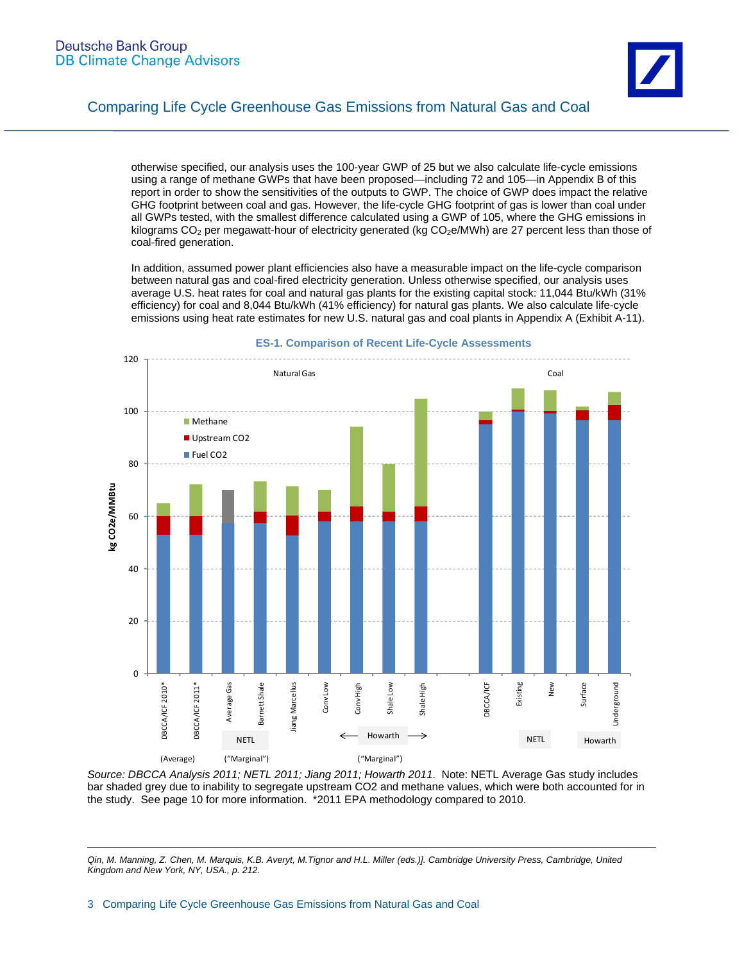

otherwise specified, our analysis uses the 100-year GWP of 25 but we also calculate life-cycle emissions using a range of methane GWPs that have been proposed—including 72 and 105—in Appendix B of this report in order to show the sensitivities of the outputs to GWP. The choice of GWP does impact the relative GHG footprint between coal and gas. However, the life-cycle GHG footprint of gas is lower than coal under all GWPs tested, with the smallest difference calculated using a GWP of 105, where the GHG emissions in kilograms  $CO<sub>2</sub>$  per megawatt-hour of electricity generated (kg  $CO<sub>2</sub>e/MWh$ ) are 27 percent less than those of coal-fired generation.

In addition, assumed power plant efficiencies also have a measurable impact on the life-cycle comparison between natural gas and coal-fired electricity generation. Unless otherwise specified, our analysis uses average U.S. heat rates for coal and natural gas plants for the existing capital stock: 11,044 Btu/kWh (31% efficiency) for coal and 8,044 Btu/kWh (41% efficiency) for natural gas plants. We also calculate life-cycle emissions using heat rate estimates for new U.S. natural gas and coal plants in Appendix A (Exhibit A-11).



#### **ES-1. Comparison of Recent Life-Cycle Assessments**

*Source: DBCCA Analysis 2011; NETL 2011; Jiang 2011; Howarth 2011*. Note: NETL Average Gas study includes bar shaded grey due to inability to segregate upstream CO2 and methane values, which were both accounted for in the study. See page 10 for more information. \*2011 EPA methodology compared to 2010.

 $\overline{a}$ *Qin, M. Manning, Z. Chen, M. Marquis, K.B. Averyt, M.Tignor and H.L. Miller (eds.)]. Cambridge University Press, Cambridge, United Kingdom and New York, NY, USA., p. 212.*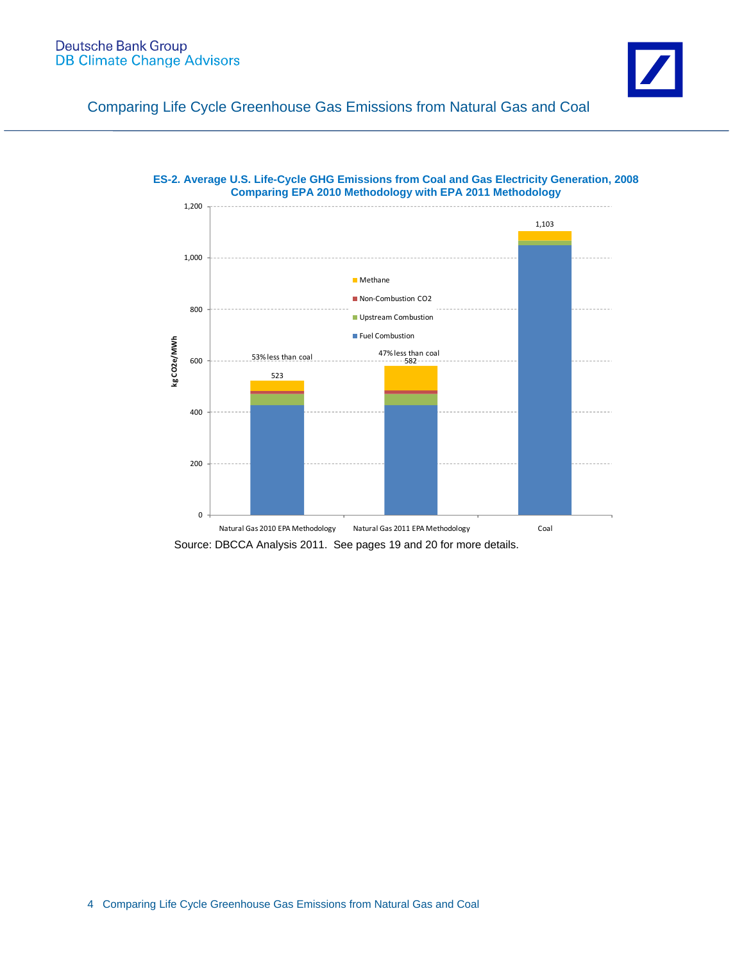

# **ES-2. Average U.S. Life-Cycle GHG Emissions from Coal and Gas Electricity Generation, 2008**

Source: DBCCA Analysis 2011. See pages 19 and 20 for more details.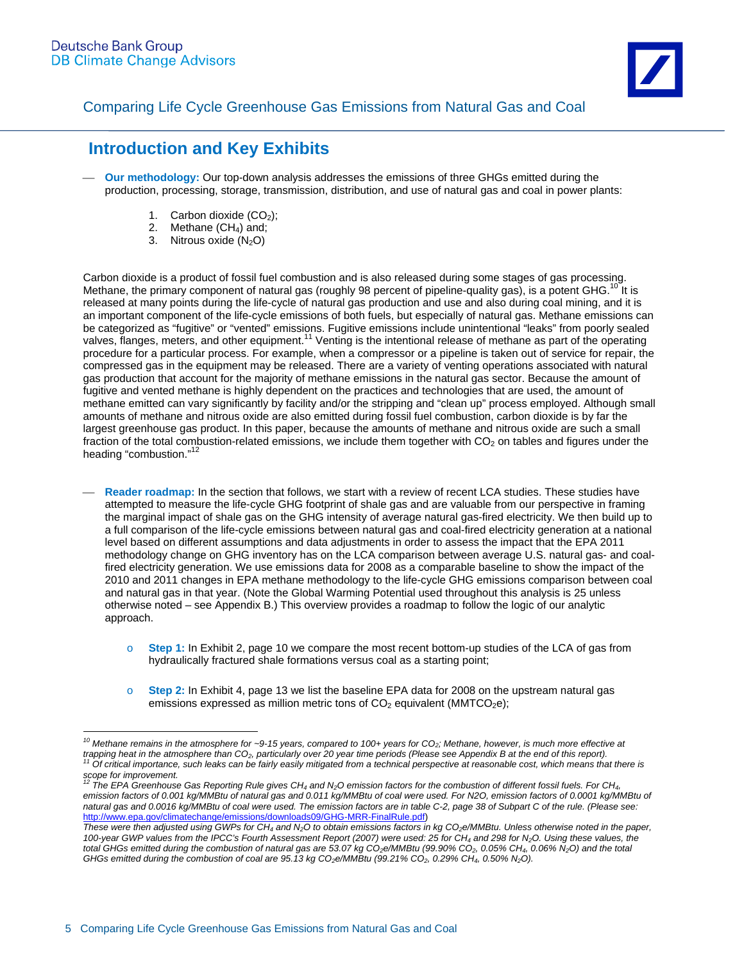

# **Introduction and Key Exhibits**

- **Our methodology:** Our top-down analysis addresses the emissions of three GHGs emitted during the production, processing, storage, transmission, distribution, and use of natural gas and coal in power plants:
	- 1. Carbon dioxide  $(CO<sub>2</sub>)$ ;
	- 2. Methane  $(CH_4)$  and;
	- 3. Nitrous oxide  $(N_2O)$

Carbon dioxide is a product of fossil fuel combustion and is also released during some stages of gas processing. Methane, the primary component of natural gas (roughly 98 percent of pipeline-quality gas), is a potent GHG.<sup>10</sup> It is released at many points during the life-cycle of natural gas production and use and also during coal mining, and it is an important component of the life-cycle emissions of both fuels, but especially of natural gas. Methane emissions can be categorized as "fugitive" or "vented" emissions. Fugitive emissions include unintentional "leaks" from poorly sealed valves, flanges, meters, and other equipment.11 Venting is the intentional release of methane as part of the operating procedure for a particular process. For example, when a compressor or a pipeline is taken out of service for repair, the compressed gas in the equipment may be released. There are a variety of venting operations associated with natural gas production that account for the majority of methane emissions in the natural gas sector. Because the amount of fugitive and vented methane is highly dependent on the practices and technologies that are used, the amount of methane emitted can vary significantly by facility and/or the stripping and "clean up" process employed. Although small amounts of methane and nitrous oxide are also emitted during fossil fuel combustion, carbon dioxide is by far the largest greenhouse gas product. In this paper, because the amounts of methane and nitrous oxide are such a small fraction of the total combustion-related emissions, we include them together with  $CO<sub>2</sub>$  on tables and figures under the heading "combustion."<sup>12</sup>

- **Reader roadmap:** In the section that follows, we start with a review of recent LCA studies. These studies have attempted to measure the life-cycle GHG footprint of shale gas and are valuable from our perspective in framing the marginal impact of shale gas on the GHG intensity of average natural gas-fired electricity. We then build up to a full comparison of the life-cycle emissions between natural gas and coal-fired electricity generation at a national level based on different assumptions and data adjustments in order to assess the impact that the EPA 2011 methodology change on GHG inventory has on the LCA comparison between average U.S. natural gas- and coalfired electricity generation. We use emissions data for 2008 as a comparable baseline to show the impact of the 2010 and 2011 changes in EPA methane methodology to the life-cycle GHG emissions comparison between coal and natural gas in that year. (Note the Global Warming Potential used throughout this analysis is 25 unless otherwise noted – see Appendix B.) This overview provides a roadmap to follow the logic of our analytic approach.
	- o **Step 1:** In Exhibit 2, page 10 we compare the most recent bottom-up studies of the LCA of gas from hydraulically fractured shale formations versus coal as a starting point;
	- o **Step 2:** In Exhibit 4, page 13 we list the baseline EPA data for 2008 on the upstream natural gas emissions expressed as million metric tons of  $CO<sub>2</sub>$  equivalent (MMTCO<sub>2</sub>e);

 $\overline{a}$ *10 Methane remains in the atmosphere for ~9-15 years, compared to 100+ years for CO2; Methane, however, is much more effective at*  trapping heat in the atmosphere than CO<sub>2</sub>, particularly over 20 year time periods (Please see Appendix B at the end of this report).<br><sup>11</sup> Of critical importance, such leaks can be fairly easily mitigated from a technical

*scope for improvement.*<br><sup>12</sup> The EDA Creath

*<sup>12</sup> The EPA Greenhouse Gas Reporting Rule gives CH4 and N2O emission factors for the combustion of different fossil fuels. For CH4, emission factors of 0.001 kg/MMBtu of natural gas and 0.011 kg/MMBtu of coal were used. For N2O, emission factors of 0.0001 kg/MMBtu of natural gas and 0.0016 kg/MMBtu of coal were used. The emission factors are in table C-2, page 38 of Subpart C of the rule. (Please see:*  http://www.epa.gov/climatechange/emissions/downloads09/GHG-MRR-FinalRule.pdf)

These were then adjusted using GWPs for CH<sub>4</sub> and N<sub>2</sub>O to obtain emissions factors in kg CO<sub>2</sub>e/MMBtu. Unless otherwise noted in the paper, *100-year GWP values from the IPCC's Fourth Assessment Report (2007) were used: 25 for CH4 and 298 for N2O. Using these values, the total GHGs emitted during the combustion of natural gas are 53.07 kg CO2e/MMBtu (99.90% CO2, 0.05% CH4, 0.06% N2O) and the total GHGs emitted during the combustion of coal are 95.13 kg CO2e/MMBtu (99.21% CO2, 0.29% CH4, 0.50% N2O).*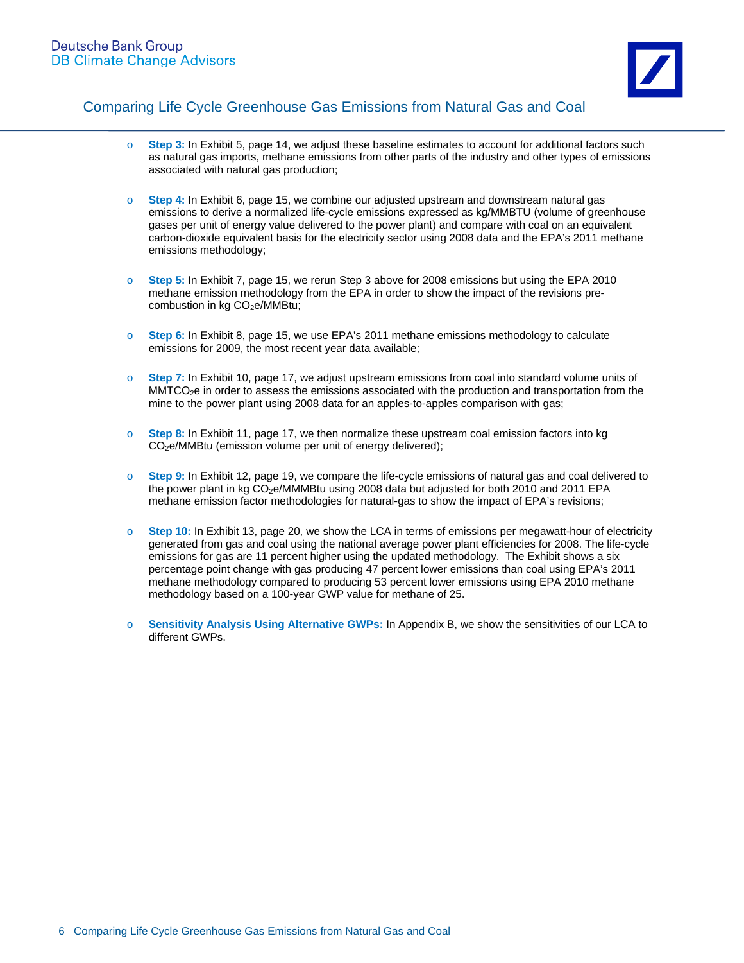

- o **Step 3:** In Exhibit 5, page 14, we adjust these baseline estimates to account for additional factors such as natural gas imports, methane emissions from other parts of the industry and other types of emissions associated with natural gas production;
- o **Step 4:** In Exhibit 6, page 15, we combine our adjusted upstream and downstream natural gas emissions to derive a normalized life-cycle emissions expressed as kg/MMBTU (volume of greenhouse gases per unit of energy value delivered to the power plant) and compare with coal on an equivalent carbon-dioxide equivalent basis for the electricity sector using 2008 data and the EPA's 2011 methane emissions methodology;
- o **Step 5:** In Exhibit 7, page 15, we rerun Step 3 above for 2008 emissions but using the EPA 2010 methane emission methodology from the EPA in order to show the impact of the revisions precombustion in kg CO<sub>2</sub>e/MMBtu;
- o **Step 6:** In Exhibit 8, page 15, we use EPA's 2011 methane emissions methodology to calculate emissions for 2009, the most recent year data available;
- o **Step 7:** In Exhibit 10, page 17, we adjust upstream emissions from coal into standard volume units of MMTCO<sub>2</sub>e in order to assess the emissions associated with the production and transportation from the mine to the power plant using 2008 data for an apples-to-apples comparison with gas;
- o **Step 8:** In Exhibit 11, page 17, we then normalize these upstream coal emission factors into kg CO2e/MMBtu (emission volume per unit of energy delivered);
- o **Step 9:** In Exhibit 12, page 19, we compare the life-cycle emissions of natural gas and coal delivered to the power plant in kg CO<sub>2</sub>e/MMMBtu using 2008 data but adjusted for both 2010 and 2011 EPA methane emission factor methodologies for natural-gas to show the impact of EPA's revisions;
- o **Step 10:** In Exhibit 13, page 20, we show the LCA in terms of emissions per megawatt-hour of electricity generated from gas and coal using the national average power plant efficiencies for 2008. The life-cycle emissions for gas are 11 percent higher using the updated methodology. The Exhibit shows a six percentage point change with gas producing 47 percent lower emissions than coal using EPA's 2011 methane methodology compared to producing 53 percent lower emissions using EPA 2010 methane methodology based on a 100-year GWP value for methane of 25.
- o **Sensitivity Analysis Using Alternative GWPs:** In Appendix B, we show the sensitivities of our LCA to different GWPs.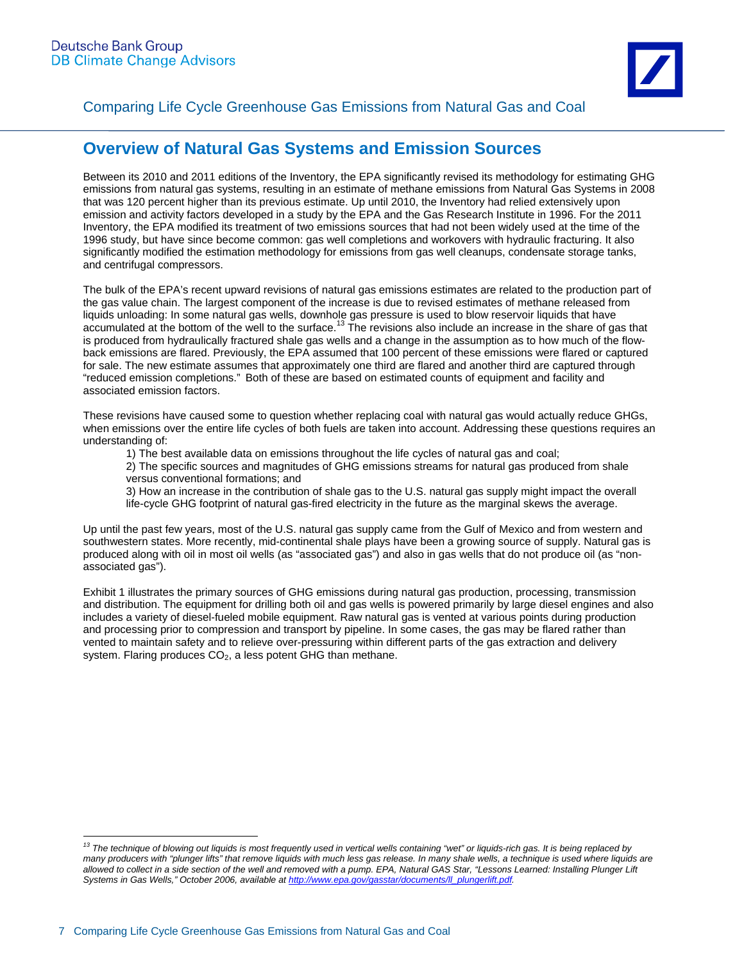# **Overview of Natural Gas Systems and Emission Sources**

Between its 2010 and 2011 editions of the Inventory, the EPA significantly revised its methodology for estimating GHG emissions from natural gas systems, resulting in an estimate of methane emissions from Natural Gas Systems in 2008 that was 120 percent higher than its previous estimate. Up until 2010, the Inventory had relied extensively upon emission and activity factors developed in a study by the EPA and the Gas Research Institute in 1996. For the 2011 Inventory, the EPA modified its treatment of two emissions sources that had not been widely used at the time of the 1996 study, but have since become common: gas well completions and workovers with hydraulic fracturing. It also significantly modified the estimation methodology for emissions from gas well cleanups, condensate storage tanks, and centrifugal compressors.

The bulk of the EPA's recent upward revisions of natural gas emissions estimates are related to the production part of the gas value chain. The largest component of the increase is due to revised estimates of methane released from liquids unloading: In some natural gas wells, downhole gas pressure is used to blow reservoir liquids that have accumulated at the bottom of the well to the surface.<sup>13</sup> The revisions also include an increase in the share of gas that is produced from hydraulically fractured shale gas wells and a change in the assumption as to how much of the flowback emissions are flared. Previously, the EPA assumed that 100 percent of these emissions were flared or captured for sale. The new estimate assumes that approximately one third are flared and another third are captured through "reduced emission completions." Both of these are based on estimated counts of equipment and facility and associated emission factors.

These revisions have caused some to question whether replacing coal with natural gas would actually reduce GHGs, when emissions over the entire life cycles of both fuels are taken into account. Addressing these questions requires an understanding of:

1) The best available data on emissions throughout the life cycles of natural gas and coal;

2) The specific sources and magnitudes of GHG emissions streams for natural gas produced from shale versus conventional formations; and

3) How an increase in the contribution of shale gas to the U.S. natural gas supply might impact the overall life-cycle GHG footprint of natural gas-fired electricity in the future as the marginal skews the average.

Up until the past few years, most of the U.S. natural gas supply came from the Gulf of Mexico and from western and southwestern states. More recently, mid-continental shale plays have been a growing source of supply. Natural gas is produced along with oil in most oil wells (as "associated gas") and also in gas wells that do not produce oil (as "nonassociated gas").

Exhibit 1 illustrates the primary sources of GHG emissions during natural gas production, processing, transmission and distribution. The equipment for drilling both oil and gas wells is powered primarily by large diesel engines and also includes a variety of diesel-fueled mobile equipment. Raw natural gas is vented at various points during production and processing prior to compression and transport by pipeline. In some cases, the gas may be flared rather than vented to maintain safety and to relieve over-pressuring within different parts of the gas extraction and delivery system. Flaring produces  $CO<sub>2</sub>$ , a less potent GHG than methane.

*<sup>13</sup> The technique of blowing out liquids is most frequently used in vertical wells containing "wet" or liquids-rich gas. It is being replaced by*  many producers with "plunger lifts" that remove liquids with much less gas release. In many shale wells, a technique is used where liquids are allowed to collect in a side section of the well and removed with a pump. EPA, Natural GAS Star, "Lessons Learned: Installing Plunger Lift *Systems in Gas Wells," October 2006, available at http://www.epa.gov/gasstar/documents/ll\_plungerlift.pdf.*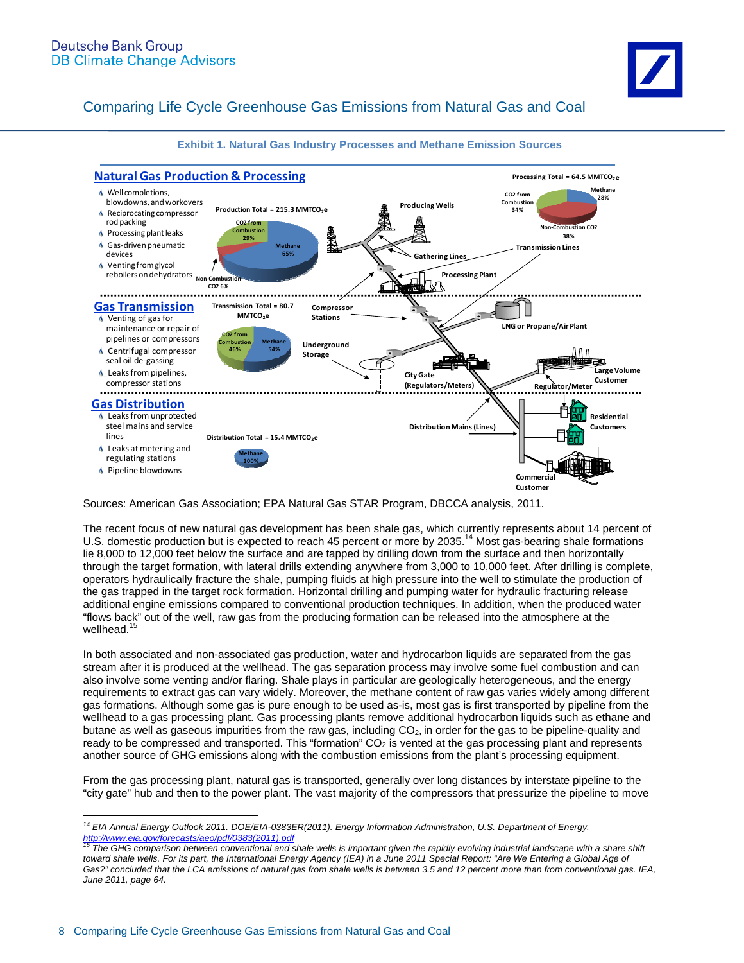

**Exhibit 1. Natural Gas Industry Processes and Methane Emission Sources** 

Sources: American Gas Association; EPA Natural Gas STAR Program, DBCCA analysis, 2011.

The recent focus of new natural gas development has been shale gas, which currently represents about 14 percent of U.S. domestic production but is expected to reach 45 percent or more by 2035.<sup>14</sup> Most gas-bearing shale formations lie 8,000 to 12,000 feet below the surface and are tapped by drilling down from the surface and then horizontally through the target formation, with lateral drills extending anywhere from 3,000 to 10,000 feet. After drilling is complete, operators hydraulically fracture the shale, pumping fluids at high pressure into the well to stimulate the production of the gas trapped in the target rock formation. Horizontal drilling and pumping water for hydraulic fracturing release additional engine emissions compared to conventional production techniques. In addition, when the produced water "flows back" out of the well, raw gas from the producing formation can be released into the atmosphere at the wellhead.<sup>15</sup>

In both associated and non-associated gas production, water and hydrocarbon liquids are separated from the gas stream after it is produced at the wellhead. The gas separation process may involve some fuel combustion and can also involve some venting and/or flaring. Shale plays in particular are geologically heterogeneous, and the energy requirements to extract gas can vary widely. Moreover, the methane content of raw gas varies widely among different gas formations. Although some gas is pure enough to be used as-is, most gas is first transported by pipeline from the wellhead to a gas processing plant. Gas processing plants remove additional hydrocarbon liquids such as ethane and butane as well as gaseous impurities from the raw gas, including  $CO<sub>2</sub>$ , in order for the gas to be pipeline-quality and ready to be compressed and transported. This "formation"  $CO<sub>2</sub>$  is vented at the gas processing plant and represents another source of GHG emissions along with the combustion emissions from the plant's processing equipment.

From the gas processing plant, natural gas is transported, generally over long distances by interstate pipeline to the "city gate" hub and then to the power plant. The vast majority of the compressors that pressurize the pipeline to move

 $\overline{a}$ *14 EIA Annual Energy Outlook 2011. DOE/EIA-0383ER(2011). Energy Information Administration, U.S. Department of Energy.*  nttp://www.eia.gov/forecasts/aeo/pdf/0383(2011).pdf<br>http://www.eia.gov/forecasts/aeo/pdf/0383(2011).pdf<br><sup>15</sup> The GHG comparison between conventional and shale wells is important given the rapidly evolving industrial landsc

toward shale wells. For its part, the International Energy Agency (IEA) in a June 2011 Special Report: "Are We Entering a Global Age of *Gas?" concluded that the LCA emissions of natural gas from shale wells is between 3.5 and 12 percent more than from conventional gas. IEA, June 2011, page 64.*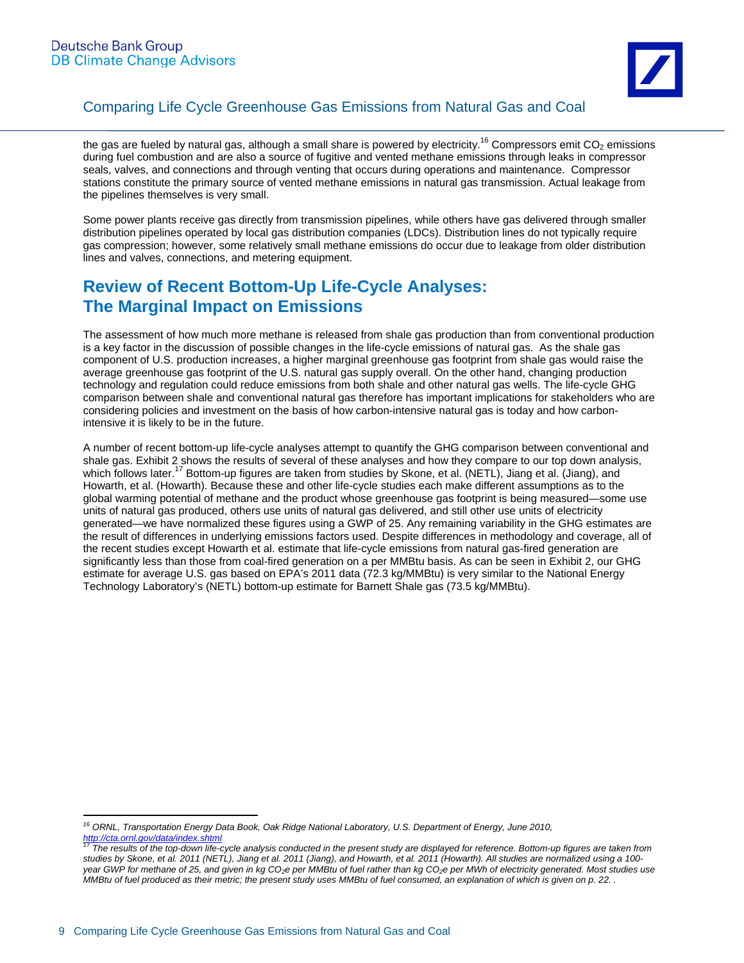

the gas are fueled by natural gas, although a small share is powered by electricity.<sup>16</sup> Compressors emit  $CO<sub>2</sub>$  emissions during fuel combustion and are also a source of fugitive and vented methane emissions through leaks in compressor seals, valves, and connections and through venting that occurs during operations and maintenance. Compressor stations constitute the primary source of vented methane emissions in natural gas transmission. Actual leakage from the pipelines themselves is very small.

Some power plants receive gas directly from transmission pipelines, while others have gas delivered through smaller distribution pipelines operated by local gas distribution companies (LDCs). Distribution lines do not typically require gas compression; however, some relatively small methane emissions do occur due to leakage from older distribution lines and valves, connections, and metering equipment.

## **Review of Recent Bottom-Up Life-Cycle Analyses: The Marginal Impact on Emissions**

The assessment of how much more methane is released from shale gas production than from conventional production is a key factor in the discussion of possible changes in the life-cycle emissions of natural gas. As the shale gas component of U.S. production increases, a higher marginal greenhouse gas footprint from shale gas would raise the average greenhouse gas footprint of the U.S. natural gas supply overall. On the other hand, changing production technology and regulation could reduce emissions from both shale and other natural gas wells. The life-cycle GHG comparison between shale and conventional natural gas therefore has important implications for stakeholders who are considering policies and investment on the basis of how carbon-intensive natural gas is today and how carbonintensive it is likely to be in the future.

A number of recent bottom-up life-cycle analyses attempt to quantify the GHG comparison between conventional and shale gas. Exhibit 2 shows the results of several of these analyses and how they compare to our top down analysis, which follows later.<sup>17</sup> Bottom-up figures are taken from studies by Skone, et al. (NETL), Jiang et al. (Jiang), and Howarth, et al. (Howarth). Because these and other life-cycle studies each make different assumptions as to the global warming potential of methane and the product whose greenhouse gas footprint is being measured—some use units of natural gas produced, others use units of natural gas delivered, and still other use units of electricity generated—we have normalized these figures using a GWP of 25. Any remaining variability in the GHG estimates are the result of differences in underlying emissions factors used. Despite differences in methodology and coverage, all of the recent studies except Howarth et al. estimate that life-cycle emissions from natural gas-fired generation are significantly less than those from coal-fired generation on a per MMBtu basis. As can be seen in Exhibit 2, our GHG estimate for average U.S. gas based on EPA's 2011 data (72.3 kg/MMBtu) is very similar to the National Energy Technology Laboratory's (NETL) bottom-up estimate for Barnett Shale gas (73.5 kg/MMBtu).

<sup>&</sup>lt;sup>16</sup> ORNL, Transportation Energy Data Book, Oak Ridge National Laboratory, U.S. Department of Energy, June 2010, *http://cta.ornl.gov/data/index.shtml*

<sup>17</sup> *The results of the top-down life-cycle analysis conducted in the present study are displayed for reference. Bottom-up figures are taken from studies by Skone, et al. 2011 (NETL), Jiang et al. 2011 (Jiang), and Howarth, et al. 2011 (Howarth). All studies are normalized using a 100 year GWP for methane of 25, and given in kg CO2e per MMBtu of fuel rather than kg CO2e per MWh of electricity generated. Most studies use MMBtu of fuel produced as their metric; the present study uses MMBtu of fuel consumed, an explanation of which is given on p. 22. .*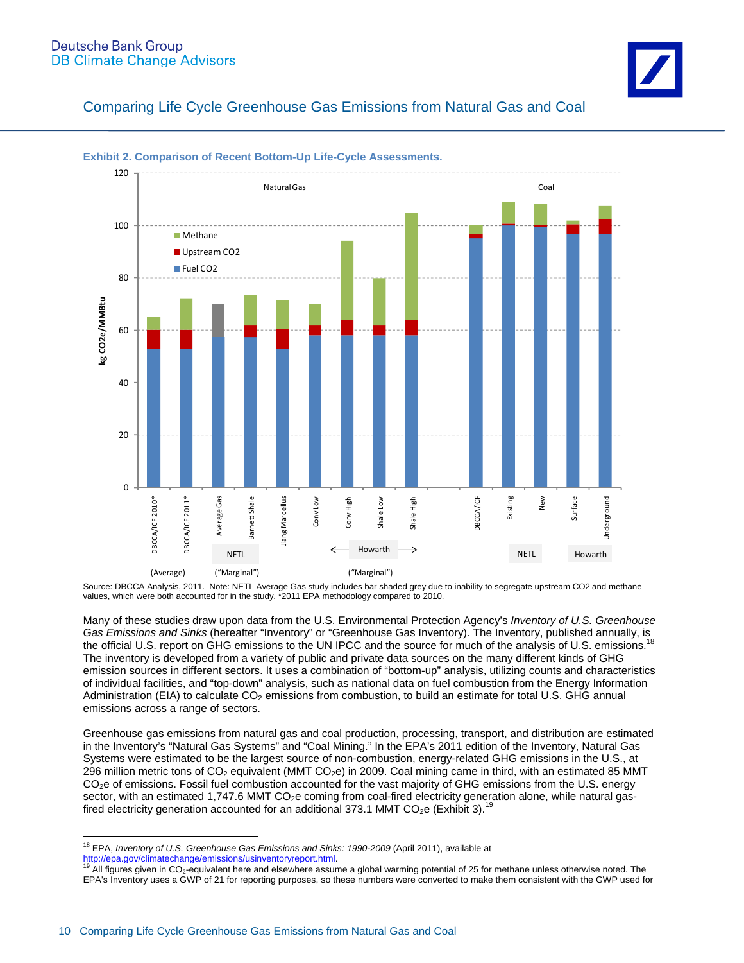#### **Deutsche Bank Group DB Climate Change Advisors**



Comparing Life Cycle Greenhouse Gas Emissions from Natural Gas and Coal



#### **Exhibit 2. Comparison of Recent Bottom-Up Life-Cycle Assessments.**

Source: DBCCA Analysis, 2011. Note: NETL Average Gas study includes bar shaded grey due to inability to segregate upstream CO2 and methane values, which were both accounted for in the study. \*2011 EPA methodology compared to 2010.

Many of these studies draw upon data from the U.S. Environmental Protection Agency's *Inventory of U.S. Greenhouse Gas Emissions and Sinks* (hereafter "Inventory" or "Greenhouse Gas Inventory). The Inventory, published annually, is the official U.S. report on GHG emissions to the UN IPCC and the source for much of the analysis of U.S. emissions.<sup>18</sup> The inventory is developed from a variety of public and private data sources on the many different kinds of GHG emission sources in different sectors. It uses a combination of "bottom-up" analysis, utilizing counts and characteristics of individual facilities, and "top-down" analysis, such as national data on fuel combustion from the Energy Information Administration (EIA) to calculate CO<sub>2</sub> emissions from combustion, to build an estimate for total U.S. GHG annual emissions across a range of sectors.

Greenhouse gas emissions from natural gas and coal production, processing, transport, and distribution are estimated in the Inventory's "Natural Gas Systems" and "Coal Mining." In the EPA's 2011 edition of the Inventory, Natural Gas Systems were estimated to be the largest source of non-combustion, energy-related GHG emissions in the U.S., at 296 million metric tons of CO<sub>2</sub> equivalent (MMT CO<sub>2</sub>e) in 2009. Coal mining came in third, with an estimated 85 MMT CO<sub>2</sub>e of emissions. Fossil fuel combustion accounted for the vast majority of GHG emissions from the U.S. energy sector, with an estimated 1,747.6 MMT CO<sub>2</sub>e coming from coal-fired electricity generation alone, while natural gasfired electricity generation accounted for an additional 373.1 MMT CO<sub>2</sub>e (Exhibit 3).<sup>1</sup>

 $\overline{a}$ <sup>18</sup> EPA, *Inventory of U.S. Greenhouse Gas Emissions and Sinks: 1990-2009* (April 2011), available at

http://epa.gov/climatechange/emissions/usinventoryreport.html.<br><sup>19</sup> All figures given in CO<sub>2</sub>-equivalent here and elsewhere assume a global warming potential of 25 for methane unless otherwise noted. The EPA's Inventory uses a GWP of 21 for reporting purposes, so these numbers were converted to make them consistent with the GWP used for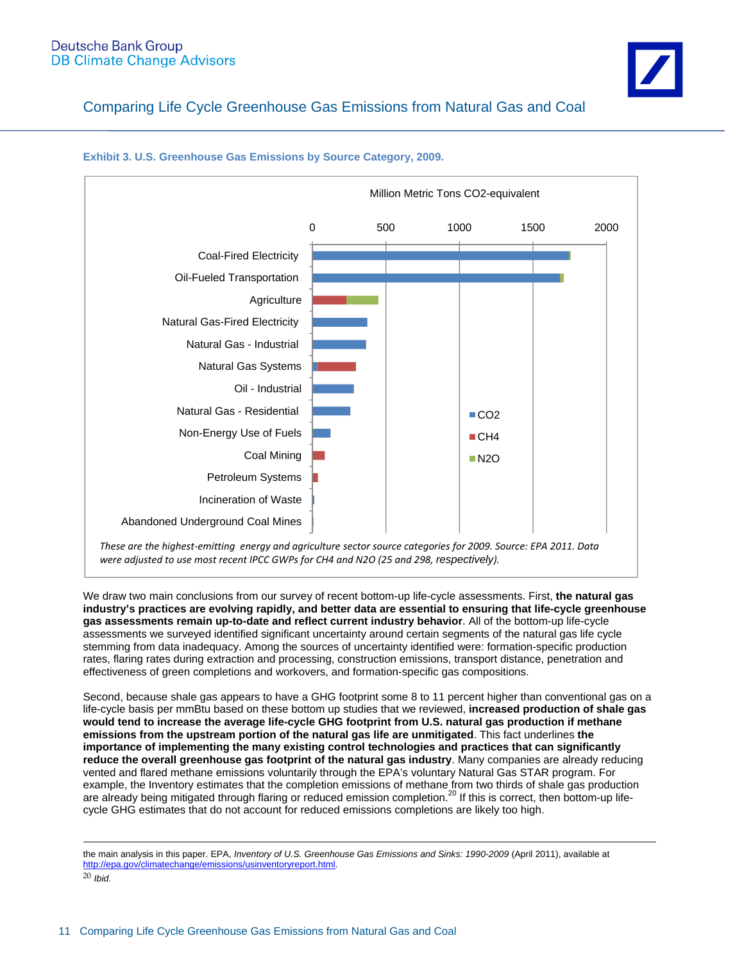

**Exhibit 3. U.S. Greenhouse Gas Emissions by Source Category, 2009.** 

We draw two main conclusions from our survey of recent bottom-up life-cycle assessments. First, **the natural gas industry's practices are evolving rapidly, and better data are essential to ensuring that life-cycle greenhouse gas assessments remain up-to-date and reflect current industry behavior**. All of the bottom-up life-cycle assessments we surveyed identified significant uncertainty around certain segments of the natural gas life cycle stemming from data inadequacy. Among the sources of uncertainty identified were: formation-specific production rates, flaring rates during extraction and processing, construction emissions, transport distance, penetration and effectiveness of green completions and workovers, and formation-specific gas compositions.

Second, because shale gas appears to have a GHG footprint some 8 to 11 percent higher than conventional gas on a life-cycle basis per mmBtu based on these bottom up studies that we reviewed, **increased production of shale gas would tend to increase the average life-cycle GHG footprint from U.S. natural gas production if methane emissions from the upstream portion of the natural gas life are unmitigated**. This fact underlines **the importance of implementing the many existing control technologies and practices that can significantly reduce the overall greenhouse gas footprint of the natural gas industry**. Many companies are already reducing vented and flared methane emissions voluntarily through the EPA's voluntary Natural Gas STAR program. For example, the Inventory estimates that the completion emissions of methane from two thirds of shale gas production are already being mitigated through flaring or reduced emission completion.<sup>20</sup> If this is correct, then bottom-up lifecycle GHG estimates that do not account for reduced emissions completions are likely too high.

the main analysis in this paper. EPA, *Inventory of U.S. Greenhouse Gas Emissions and Sinks: 1990-2009* (April 2011), available at http://epa.gov/climatechange/emissions/usinventoryreport.html.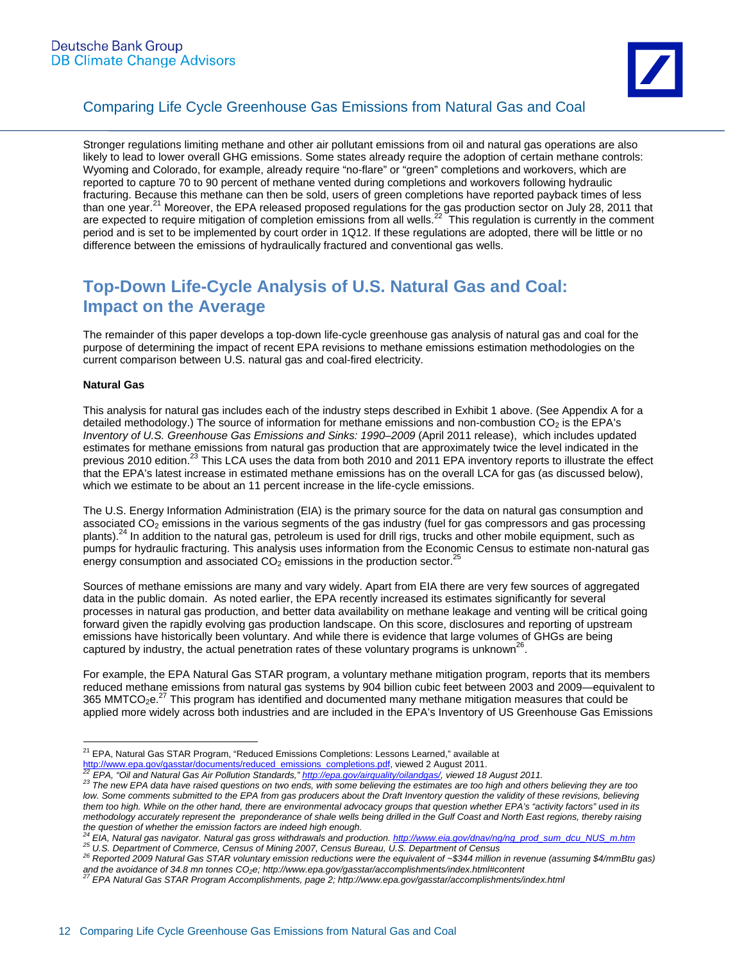

Stronger regulations limiting methane and other air pollutant emissions from oil and natural gas operations are also likely to lead to lower overall GHG emissions. Some states already require the adoption of certain methane controls: Wyoming and Colorado, for example, already require "no-flare" or "green" completions and workovers, which are reported to capture 70 to 90 percent of methane vented during completions and workovers following hydraulic fracturing. Because this methane can then be sold, users of green completions have reported payback times of less than one year.<sup>21</sup> Moreover, the EPA released proposed regulations for the gas production sector on July 28, 2011 that are expected to require mitigation of completion emissions from all wells.<sup>22</sup> This regulation is currently in the comment period and is set to be implemented by court order in 1Q12. If these regulations are adopted, there will be little or no difference between the emissions of hydraulically fractured and conventional gas wells.

# **Top-Down Life-Cycle Analysis of U.S. Natural Gas and Coal: Impact on the Average**

The remainder of this paper develops a top-down life-cycle greenhouse gas analysis of natural gas and coal for the purpose of determining the impact of recent EPA revisions to methane emissions estimation methodologies on the current comparison between U.S. natural gas and coal-fired electricity.

#### **Natural Gas**

This analysis for natural gas includes each of the industry steps described in Exhibit 1 above. (See Appendix A for a detailed methodology.) The source of information for methane emissions and non-combustion  $CO<sub>2</sub>$  is the EPA's *Inventory of U.S. Greenhouse Gas Emissions and Sinks: 1990–2009* (April 2011 release), which includes updated estimates for methane emissions from natural gas production that are approximately twice the level indicated in the previous 2010 edition.<sup>23</sup> This LCA uses the data from both 2010 and 2011 EPA inventory reports to illustrate the effect that the EPA's latest increase in estimated methane emissions has on the overall LCA for gas (as discussed below), which we estimate to be about an 11 percent increase in the life-cycle emissions.

The U.S. Energy Information Administration (EIA) is the primary source for the data on natural gas consumption and associated CO<sub>2</sub> emissions in the various segments of the gas industry (fuel for gas compressors and gas processing plants).<sup>24</sup> In addition to the natural gas, petroleum is used for drill rigs, trucks and other mobile equipment, such as pumps for hydraulic fracturing. This analysis uses information from the Economic Census to estimate non-natural gas energy consumption and associated  $CO<sub>2</sub>$  emissions in the production sector.<sup>25</sup>

Sources of methane emissions are many and vary widely. Apart from EIA there are very few sources of aggregated data in the public domain. As noted earlier, the EPA recently increased its estimates significantly for several processes in natural gas production, and better data availability on methane leakage and venting will be critical going forward given the rapidly evolving gas production landscape. On this score, disclosures and reporting of upstream emissions have historically been voluntary. And while there is evidence that large volumes of GHGs are being captured by industry, the actual penetration rates of these voluntary programs is unknown<sup>26</sup>.

For example, the EPA Natural Gas STAR program, a voluntary methane mitigation program, reports that its members reduced methane emissions from natural gas systems by 904 billion cubic feet between 2003 and 2009—equivalent to 365 MMTCO<sub>2</sub>e.<sup>27</sup> This program has identified and documented many methane mitigation measures that could be applied more widely across both industries and are included in the EPA's Inventory of US Greenhouse Gas Emissions

 $\overline{a}$ <sup>21</sup> EPA, Natural Gas STAR Program, "Reduced Emissions Completions: Lessons Learned," available at

http://www.epa.gov/gasstar/documents/reduced emissions completions.pdf, viewed 2 August 2011.<br><sup>22</sup> EPA, "Oil and Natural Gas Air Pollution Standards," http://epa.gov/airquality/oilandgas/, viewed 18 August 2011.<br><sup>23</sup> The n low. Some comments submitted to the EPA from gas producers about the Draft Inventory question the validity of these revisions, believing *them too high. While on the other hand, there are environmental advocacy groups that question whether EPA's "activity factors" used in its methodology accurately represent the preponderance of shale wells being drilled in the Gulf Coast and North East regions, thereby raising*  the question of whether the emission factors are indeed high enough.<br><sup>24</sup> EIA, Natural gas navigator. Natural gas gross withdrawals and production. http://www.eia.gov/dnav/ng/ng\_prod\_sum\_dcu\_NUS\_m.htm

<sup>25</sup> L.M. Natural Section of Commerce, Census of Mining 2007, Census Bureau, U.S. Department of Census<br><sup>26</sup> Reported 2009 Natural Gas STAR voluntary emission reductions were the equivalent of ~\$344 million in revenue (assumi and the avoidance of 34.8 mn tonnes CO<sub>2</sub>e; http://www.epa.gov/gasstar/accomplishments/index.html#content 27 EPA Natural Gas STAR Program Accomplishments, page 2; http://www.epa.gov/gasstar/accomplishments/index.html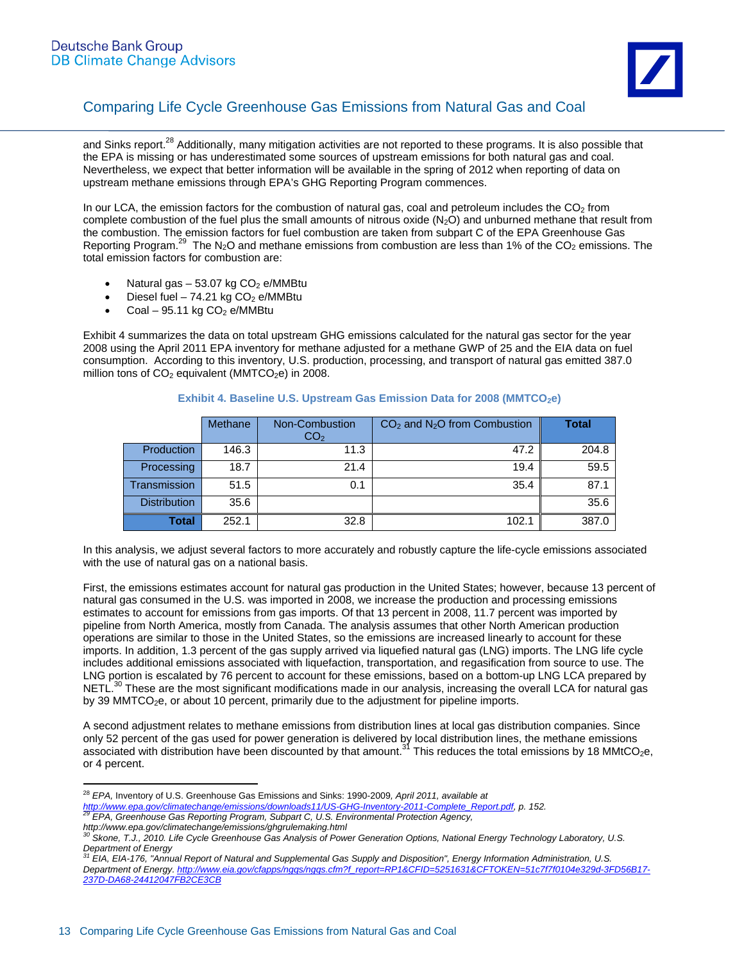

and Sinks report.<sup>28</sup> Additionally, many mitigation activities are not reported to these programs. It is also possible that the EPA is missing or has underestimated some sources of upstream emissions for both natural gas and coal. Nevertheless, we expect that better information will be available in the spring of 2012 when reporting of data on upstream methane emissions through EPA's GHG Reporting Program commences.

In our LCA, the emission factors for the combustion of natural gas, coal and petroleum includes the  $CO<sub>2</sub>$  from complete combustion of the fuel plus the small amounts of nitrous oxide  $(N_2O)$  and unburned methane that result from the combustion. The emission factors for fuel combustion are taken from subpart C of the EPA Greenhouse Gas Reporting Program.<sup>29</sup> The N<sub>2</sub>O and methane emissions from combustion are less than 1% of the CO<sub>2</sub> emissions. The total emission factors for combustion are:

- Natural gas  $-53.07$  kg  $CO<sub>2</sub>$  e/MMBtu
- Diesel fuel 74.21 kg  $CO<sub>2</sub>$  e/MMBtu
- Coal 95.11 kg  $CO<sub>2</sub>$  e/MMBtu

 $\overline{a}$ 

Exhibit 4 summarizes the data on total upstream GHG emissions calculated for the natural gas sector for the year 2008 using the April 2011 EPA inventory for methane adjusted for a methane GWP of 25 and the EIA data on fuel consumption. According to this inventory, U.S. production, processing, and transport of natural gas emitted 387.0 million tons of  $CO<sub>2</sub>$  equivalent (MMTCO<sub>2</sub>e) in 2008.

|                     | <b>Methane</b> | Non-Combustion<br>CO <sub>2</sub> | $CO2$ and N <sub>2</sub> O from Combustion | <b>Total</b> |
|---------------------|----------------|-----------------------------------|--------------------------------------------|--------------|
| Production          | 146.3          | 11.3                              | 47.2                                       | 204.8        |
| Processing          | 18.7           | 21.4                              | 19.4                                       | 59.5         |
| <b>Transmission</b> | 51.5           | 0.1                               | 35.4                                       | 87.1         |
| <b>Distribution</b> | 35.6           |                                   |                                            | 35.6         |
| <b>Total</b>        | 252.1          | 32.8                              | 102.1                                      | 387.0        |

#### **Exhibit 4. Baseline U.S. Upstream Gas Emission Data for 2008 (MMTCO<sub>2</sub>e)**

In this analysis, we adjust several factors to more accurately and robustly capture the life-cycle emissions associated with the use of natural gas on a national basis.

First, the emissions estimates account for natural gas production in the United States; however, because 13 percent of natural gas consumed in the U.S. was imported in 2008, we increase the production and processing emissions estimates to account for emissions from gas imports. Of that 13 percent in 2008, 11.7 percent was imported by pipeline from North America, mostly from Canada. The analysis assumes that other North American production operations are similar to those in the United States, so the emissions are increased linearly to account for these imports. In addition, 1.3 percent of the gas supply arrived via liquefied natural gas (LNG) imports. The LNG life cycle includes additional emissions associated with liquefaction, transportation, and regasification from source to use. The LNG portion is escalated by 76 percent to account for these emissions, based on a bottom-up LNG LCA prepared by NETL.<sup>30</sup> These are the most significant modifications made in our analysis, increasing the overall LCA for natural gas by 39 MMTCO<sub>2</sub>e, or about 10 percent, primarily due to the adjustment for pipeline imports.

A second adjustment relates to methane emissions from distribution lines at local gas distribution companies. Since only 52 percent of the gas used for power generation is delivered by local distribution lines, the methane emissions associated with distribution have been discounted by that amount.<sup>31</sup> This reduces the total emissions by 18 MMtCO<sub>2</sub>e, or 4 percent.

<sup>28</sup> *EPA,* Inventory of U.S. Greenhouse Gas Emissions and Sinks: 1990-2009*, April 2011, available at http://www.epa.gov/climatechange/emissions/downloads11/US-GHG-Inventory-2011-Complete\_Report.pdf, p. 152. 29 EPA, Greenhouse Gas Reporting Program, Subpart C, U.S. Environmental Protection Agency,* 

*http://www.epa.gov/climatechange/emissions/ghgrulemaking.html 30 Skone, T.J., 2010. Life Cycle Greenhouse Gas Analysis of Power Generation Options, National Energy Technology Laboratory, U.S.*

*Department of Energy 31 EIA, EIA-176, "Annual Report of Natural and Supplemental Gas Supply and Disposition", Energy Information Administration, U.S. Department of Energy. http://www.eia.gov/cfapps/ngqs/ngqs.cfm?f\_report=RP1&CFID=5251631&CFTOKEN=51c7f7f0104e329d-3FD56B17- 237D-DA68-24412047FB2CE3CB*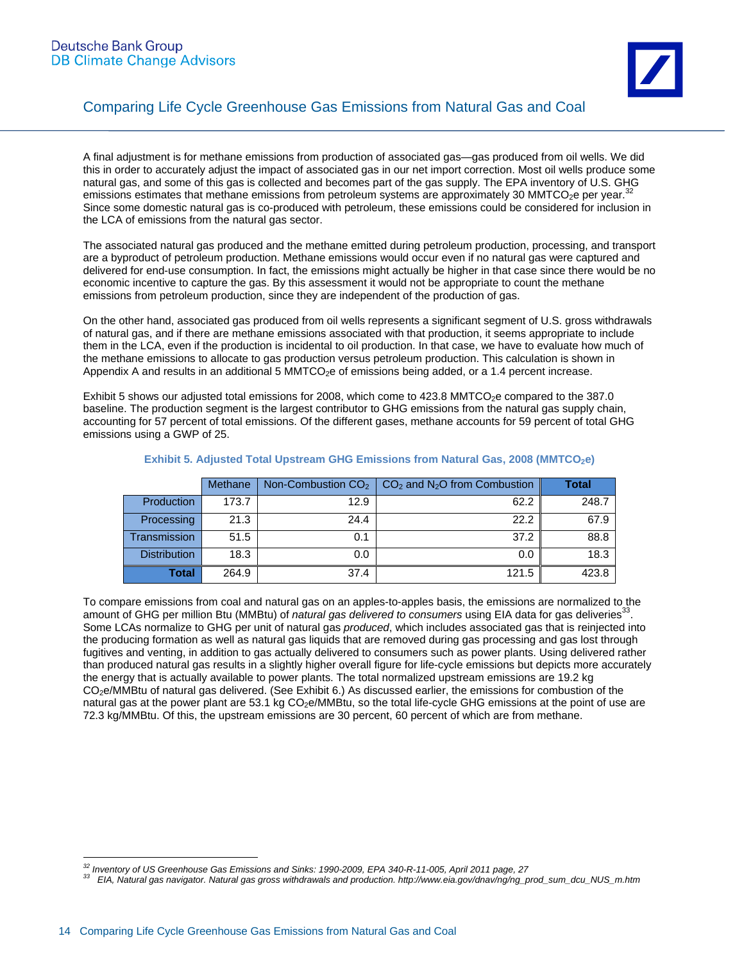

A final adjustment is for methane emissions from production of associated gas—gas produced from oil wells. We did this in order to accurately adjust the impact of associated gas in our net import correction. Most oil wells produce some natural gas, and some of this gas is collected and becomes part of the gas supply. The EPA inventory of U.S. GHG emissions estimates that methane emissions from petroleum systems are approximately 30 MMTCO<sub>2</sub>e per year.<sup>32</sup> Since some domestic natural gas is co-produced with petroleum, these emissions could be considered for inclusion in the LCA of emissions from the natural gas sector.

The associated natural gas produced and the methane emitted during petroleum production, processing, and transport are a byproduct of petroleum production. Methane emissions would occur even if no natural gas were captured and delivered for end-use consumption. In fact, the emissions might actually be higher in that case since there would be no economic incentive to capture the gas. By this assessment it would not be appropriate to count the methane emissions from petroleum production, since they are independent of the production of gas.

On the other hand, associated gas produced from oil wells represents a significant segment of U.S. gross withdrawals of natural gas, and if there are methane emissions associated with that production, it seems appropriate to include them in the LCA, even if the production is incidental to oil production. In that case, we have to evaluate how much of the methane emissions to allocate to gas production versus petroleum production. This calculation is shown in Appendix A and results in an additional 5 MMTCO<sub>2</sub>e of emissions being added, or a 1.4 percent increase.

Exhibit 5 shows our adjusted total emissions for 2008, which come to 423.8 MMTCO<sub>2</sub>e compared to the 387.0 baseline. The production segment is the largest contributor to GHG emissions from the natural gas supply chain, accounting for 57 percent of total emissions. Of the different gases, methane accounts for 59 percent of total GHG emissions using a GWP of 25.

|                     | Methane |      | Non-Combustion $CO2$   $CO2$ and N <sub>2</sub> O from Combustion | <b>Total</b> |
|---------------------|---------|------|-------------------------------------------------------------------|--------------|
| <b>Production</b>   | 173.7   | 12.9 | 62.2                                                              | 248.7        |
| Processing          | 21.3    | 24.4 | 22.2                                                              | 67.9         |
| <b>Transmission</b> | 51.5    | 0.1  | 37.2                                                              | 88.8         |
| <b>Distribution</b> | 18.3    | 0.0  | 0.0                                                               | 18.3         |
| Total               | 264.9   | 37.4 | 121.5                                                             | 423.8        |

#### **Exhibit 5. Adjusted Total Upstream GHG Emissions from Natural Gas, 2008 (MMTCO<sub>2</sub>e)**

To compare emissions from coal and natural gas on an apples-to-apples basis, the emissions are normalized to the amount of GHG per million Btu (MMBtu) of *natural gas delivered to consumers* using EIA data for gas deliveries<sup>3</sup> Some LCAs normalize to GHG per unit of natural gas *produced*, which includes associated gas that is reinjected into the producing formation as well as natural gas liquids that are removed during gas processing and gas lost through fugitives and venting, in addition to gas actually delivered to consumers such as power plants. Using delivered rather than produced natural gas results in a slightly higher overall figure for life-cycle emissions but depicts more accurately the energy that is actually available to power plants. The total normalized upstream emissions are 19.2 kg CO<sub>2</sub>e/MMBtu of natural gas delivered. (See Exhibit 6.) As discussed earlier, the emissions for combustion of the natural gas at the power plant are 53.1 kg  $CO<sub>2</sub>e/MMBtu$ , so the total life-cycle GHG emissions at the point of use are 72.3 kg/MMBtu. Of this, the upstream emissions are 30 percent, 60 percent of which are from methane.

 $^{32}$  Inventory of US Greenhouse Gas Emissions and Sinks: 1990-2009, EPA 340-R-11-005, April 2011 page, 27

<sup>33</sup> EIA, Natural gas navigator. Natural gas gross withdrawals and production. http://www.eia.gov/dnav/ng/ng\_prod\_sum\_dcu\_NUS\_m.htm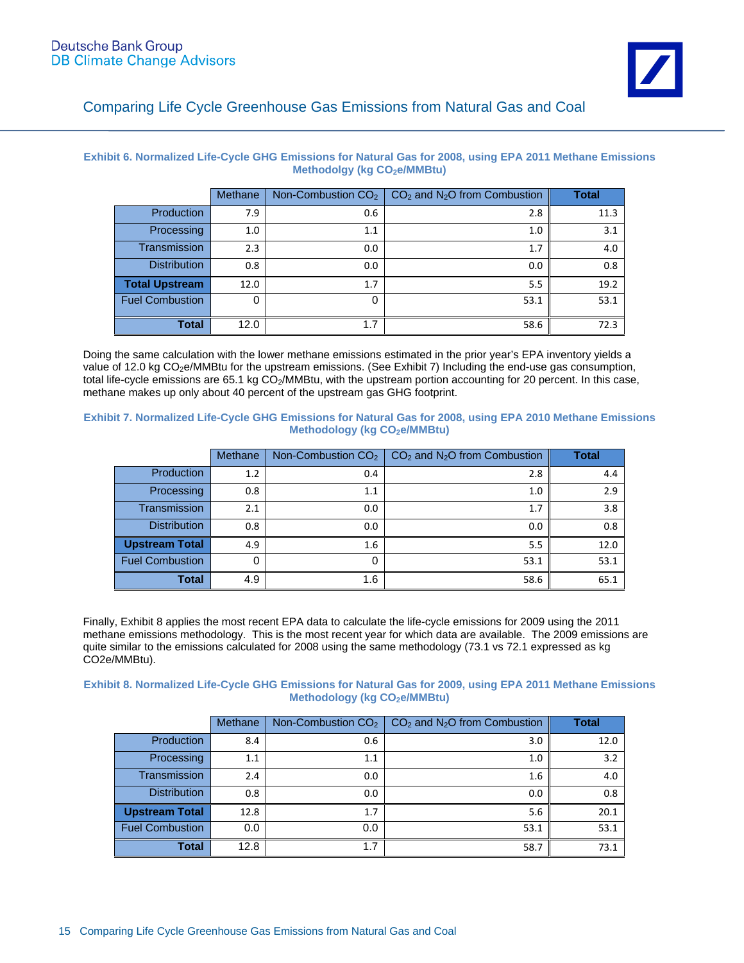**Exhibit 6. Normalized Life-Cycle GHG Emissions for Natural Gas for 2008, using EPA 2011 Methane Emissions Methodolgy (kg CO<sub>2</sub>e/MMBtu)** 

|                        | Methane | Non-Combustion $CO2$ | $CO2$ and N <sub>2</sub> O from Combustion | <b>Total</b> |
|------------------------|---------|----------------------|--------------------------------------------|--------------|
| <b>Production</b>      | 7.9     | 0.6                  | 2.8                                        | 11.3         |
| Processing             | 1.0     | 1.1                  | 1.0                                        | 3.1          |
| Transmission           | 2.3     | 0.0                  | 1.7                                        | 4.0          |
| <b>Distribution</b>    | 0.8     | 0.0                  | 0.0                                        | 0.8          |
| <b>Total Upstream</b>  | 12.0    | 1.7                  | 5.5                                        | 19.2         |
| <b>Fuel Combustion</b> | 0       | 0                    | 53.1                                       | 53.1         |
| <b>Total</b>           | 12.0    | 1.7                  | 58.6                                       | 72.3         |

Doing the same calculation with the lower methane emissions estimated in the prior year's EPA inventory yields a value of 12.0 kg CO2e/MMBtu for the upstream emissions. (See Exhibit 7) Including the end-use gas consumption, total life-cycle emissions are 65.1 kg CO<sub>2</sub>/MMBtu, with the upstream portion accounting for 20 percent. In this case, methane makes up only about 40 percent of the upstream gas GHG footprint.

**Exhibit 7. Normalized Life-Cycle GHG Emissions for Natural Gas for 2008, using EPA 2010 Methane Emissions Methodology (kg CO<sub>2</sub>e/MMBtu)** 

|                        | <b>Methane</b> | Non-Combustion $CO2$ | $CO2$ and N <sub>2</sub> O from Combustion | <b>Total</b> |
|------------------------|----------------|----------------------|--------------------------------------------|--------------|
| Production             | 1.2            | $0.4^{\circ}$        | 2.8                                        | 4.4          |
| Processing             | 0.8            | 1.1                  | 1.0                                        | 2.9          |
| <b>Transmission</b>    | 2.1            | 0.0                  | 1.7                                        | 3.8          |
| <b>Distribution</b>    | 0.8            | 0.0                  | 0.0                                        | 0.8          |
| <b>Upstream Total</b>  | 4.9            | 1.6                  | 5.5                                        | 12.0         |
| <b>Fuel Combustion</b> |                | 0                    | 53.1                                       | 53.1         |
| <b>Total</b>           | 4.9            | 1.6                  | 58.6                                       | 65.1         |

Finally, Exhibit 8 applies the most recent EPA data to calculate the life-cycle emissions for 2009 using the 2011 methane emissions methodology. This is the most recent year for which data are available. The 2009 emissions are quite similar to the emissions calculated for 2008 using the same methodology (73.1 vs 72.1 expressed as kg CO2e/MMBtu).

**Exhibit 8. Normalized Life-Cycle GHG Emissions for Natural Gas for 2009, using EPA 2011 Methane Emissions Methodology (kg CO<sub>2</sub>e/MMBtu)** 

|                        | Methane | Non-Combustion CO <sub>2</sub> | $CO2$ and N <sub>2</sub> O from Combustion | Total |
|------------------------|---------|--------------------------------|--------------------------------------------|-------|
| Production             | 8.4     | 0.6                            | 3.0                                        | 12.0  |
| Processing             | 1.1     | 1.1                            | 1.0                                        | 3.2   |
| Transmission           | 2.4     | 0.0                            | 1.6                                        | 4.0   |
| <b>Distribution</b>    | 0.8     | 0.0                            | 0.0                                        | 0.8   |
| <b>Upstream Total</b>  | 12.8    | 1.7                            | 5.6                                        | 20.1  |
| <b>Fuel Combustion</b> | 0.0     | 0.0                            | 53.1                                       | 53.1  |
| <b>Total</b>           | 12.8    | 1.7                            | 58.7                                       | 73.1  |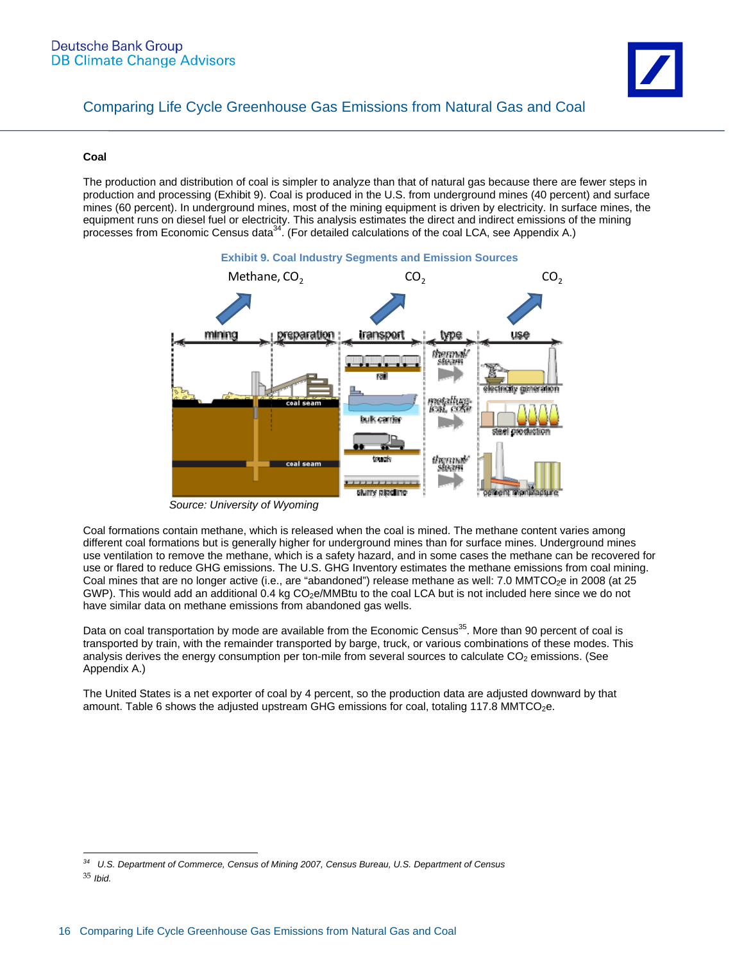

#### **Coal**

The production and distribution of coal is simpler to analyze than that of natural gas because there are fewer steps in production and processing (Exhibit 9). Coal is produced in the U.S. from underground mines (40 percent) and surface mines (60 percent). In underground mines, most of the mining equipment is driven by electricity. In surface mines, the equipment runs on diesel fuel or electricity. This analysis estimates the direct and indirect emissions of the mining processes from Economic Census data<sup>34</sup>. (For detailed calculations of the coal LCA, see Appendix A.)



*Source: University of Wyoming* 

Coal formations contain methane, which is released when the coal is mined. The methane content varies among different coal formations but is generally higher for underground mines than for surface mines. Underground mines use ventilation to remove the methane, which is a safety hazard, and in some cases the methane can be recovered for use or flared to reduce GHG emissions. The U.S. GHG Inventory estimates the methane emissions from coal mining. Coal mines that are no longer active (i.e., are "abandoned") release methane as well: 7.0 MMTCO<sub>2</sub>e in 2008 (at 25 GWP). This would add an additional 0.4 kg CO<sub>2</sub>e/MMBtu to the coal LCA but is not included here since we do not have similar data on methane emissions from abandoned gas wells.

Data on coal transportation by mode are available from the Economic Census<sup>35</sup>. More than 90 percent of coal is transported by train, with the remainder transported by barge, truck, or various combinations of these modes. This analysis derives the energy consumption per ton-mile from several sources to calculate CO<sub>2</sub> emissions. (See Appendix A.)

The United States is a net exporter of coal by 4 percent, so the production data are adjusted downward by that amount. Table 6 shows the adjusted upstream GHG emissions for coal, totaling 117.8 MMTCO<sub>2</sub>e.

*<sup>34</sup> U.S. Department of Commerce, Census of Mining 2007, Census Bureau, U.S. Department of Census* 

<sup>35</sup> *Ibid.*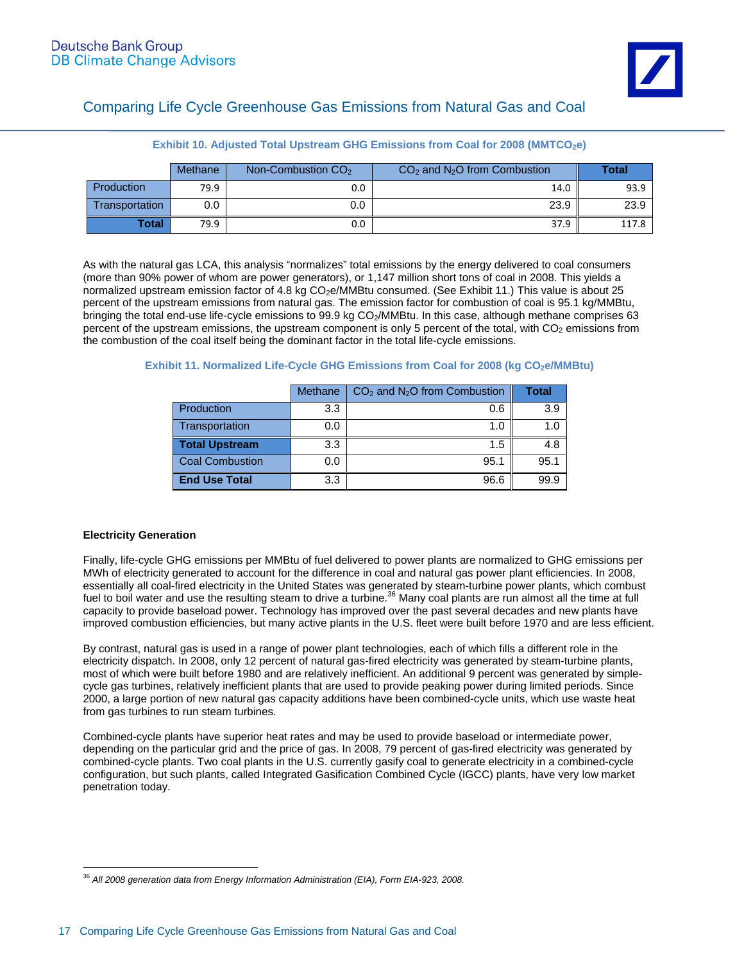|                | Methane | Non-Combustion $CO2$ | $CO2$ and N <sub>2</sub> O from Combustion | Total |
|----------------|---------|----------------------|--------------------------------------------|-------|
| Production     | 79.9    | 0.0                  | 14.0                                       | 93.9  |
| Transportation | 0.0     | 0.0                  | 23.9                                       | 23.9  |
| <b>Total</b>   | 79.9    | 0.0                  | 37.9                                       | 117.8 |

#### **Exhibit 10. Adjusted Total Upstream GHG Emissions from Coal for 2008 (MMTCO<sub>2</sub>e)**

As with the natural gas LCA, this analysis "normalizes" total emissions by the energy delivered to coal consumers (more than 90% power of whom are power generators), or 1,147 million short tons of coal in 2008. This yields a normalized upstream emission factor of 4.8 kg CO<sub>2</sub>e/MMBtu consumed. (See Exhibit 11.) This value is about 25 percent of the upstream emissions from natural gas. The emission factor for combustion of coal is 95.1 kg/MMBtu, bringing the total end-use life-cycle emissions to 99.9 kg CO<sub>2</sub>/MMBtu. In this case, although methane comprises 63 percent of the upstream emissions, the upstream component is only 5 percent of the total, with  $CO<sub>2</sub>$  emissions from the combustion of the coal itself being the dominant factor in the total life-cycle emissions.

|                       | Methane | $CO2$ and N <sub>2</sub> O from Combustion | Total       |
|-----------------------|---------|--------------------------------------------|-------------|
| Production            | 3.3     | 0.6                                        | 3.9         |
| Transportation        | 0.0     | 1.0                                        | 1. $\Omega$ |
| <b>Total Upstream</b> | 3.3     | 1.5                                        | 4.8         |
| Coal Combustion       | 0.0     | 95.1                                       | 95.1        |
| <b>End Use Total</b>  | 3.3     | 96.6                                       | 99.9        |

#### **Exhibit 11. Normalized Life-Cycle GHG Emissions from Coal for 2008 (kg CO<sub>2</sub>e/MMBtu)**

#### **Electricity Generation**

Finally, life-cycle GHG emissions per MMBtu of fuel delivered to power plants are normalized to GHG emissions per MWh of electricity generated to account for the difference in coal and natural gas power plant efficiencies. In 2008, essentially all coal-fired electricity in the United States was generated by steam-turbine power plants, which combust fuel to boil water and use the resulting steam to drive a turbine.<sup>36</sup> Many coal plants are run almost all the time at full capacity to provide baseload power. Technology has improved over the past several decades and new plants have improved combustion efficiencies, but many active plants in the U.S. fleet were built before 1970 and are less efficient.

By contrast, natural gas is used in a range of power plant technologies, each of which fills a different role in the electricity dispatch. In 2008, only 12 percent of natural gas-fired electricity was generated by steam-turbine plants, most of which were built before 1980 and are relatively inefficient. An additional 9 percent was generated by simplecycle gas turbines, relatively inefficient plants that are used to provide peaking power during limited periods. Since 2000, a large portion of new natural gas capacity additions have been combined-cycle units, which use waste heat from gas turbines to run steam turbines.

Combined-cycle plants have superior heat rates and may be used to provide baseload or intermediate power, depending on the particular grid and the price of gas. In 2008, 79 percent of gas-fired electricity was generated by combined-cycle plants. Two coal plants in the U.S. currently gasify coal to generate electricity in a combined-cycle configuration, but such plants, called Integrated Gasification Combined Cycle (IGCC) plants, have very low market penetration today.

 $\overline{a}$ <sup>36</sup> *All 2008 generation data from Energy Information Administration (EIA), Form EIA-923, 2008.*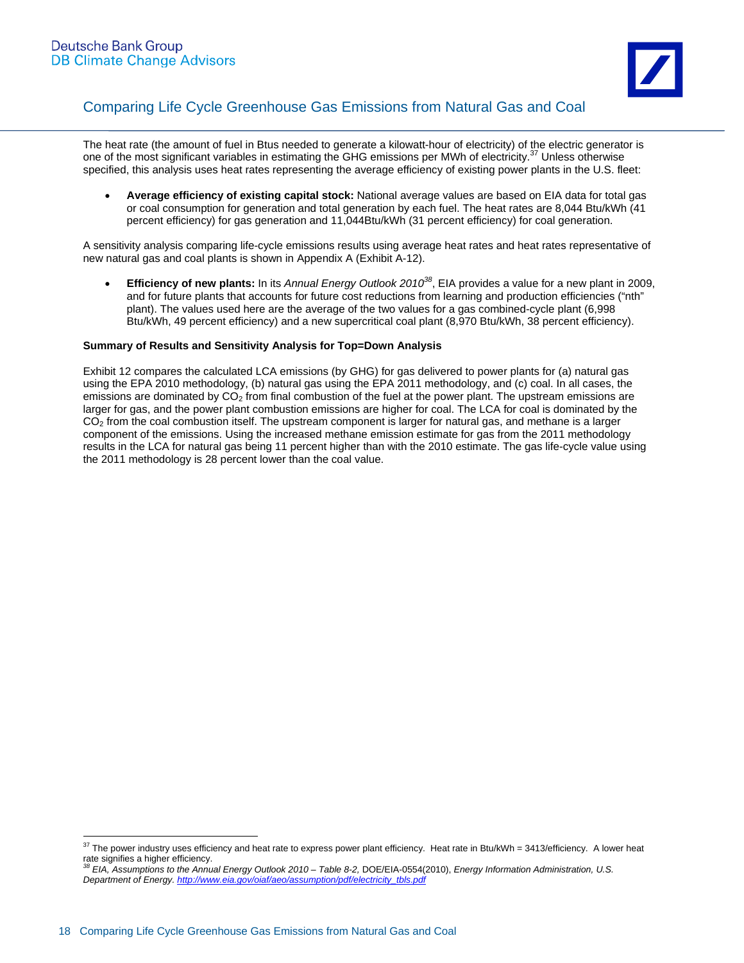

The heat rate (the amount of fuel in Btus needed to generate a kilowatt-hour of electricity) of the electric generator is one of the most significant variables in estimating the GHG emissions per MWh of electricity.<sup>37</sup> Unless otherwise specified, this analysis uses heat rates representing the average efficiency of existing power plants in the U.S. fleet:

 **Average efficiency of existing capital stock:** National average values are based on EIA data for total gas or coal consumption for generation and total generation by each fuel. The heat rates are 8,044 Btu/kWh (41 percent efficiency) for gas generation and 11,044Btu/kWh (31 percent efficiency) for coal generation.

A sensitivity analysis comparing life-cycle emissions results using average heat rates and heat rates representative of new natural gas and coal plants is shown in Appendix A (Exhibit A-12).

 **Efficiency of new plants:** In its *Annual Energy Outlook 201038*, EIA provides a value for a new plant in 2009, and for future plants that accounts for future cost reductions from learning and production efficiencies ("nth" plant). The values used here are the average of the two values for a gas combined-cycle plant (6,998 Btu/kWh, 49 percent efficiency) and a new supercritical coal plant (8,970 Btu/kWh, 38 percent efficiency).

#### **Summary of Results and Sensitivity Analysis for Top=Down Analysis**

Exhibit 12 compares the calculated LCA emissions (by GHG) for gas delivered to power plants for (a) natural gas using the EPA 2010 methodology, (b) natural gas using the EPA 2011 methodology, and (c) coal. In all cases, the emissions are dominated by  $CO<sub>2</sub>$  from final combustion of the fuel at the power plant. The upstream emissions are larger for gas, and the power plant combustion emissions are higher for coal. The LCA for coal is dominated by the  $CO<sub>2</sub>$  from the coal combustion itself. The upstream component is larger for natural gas, and methane is a larger component of the emissions. Using the increased methane emission estimate for gas from the 2011 methodology results in the LCA for natural gas being 11 percent higher than with the 2010 estimate. The gas life-cycle value using the 2011 methodology is 28 percent lower than the coal value.

 $37$  The power industry uses efficiency and heat rate to express power plant efficiency. Heat rate in Btu/kWh = 3413/efficiency. A lower heat rate signifies a higher efficiency.<br> $38$  EIA, Assumptions to the Appu

*<sup>38</sup> EIA, Assumptions to the Annual Energy Outlook 2010 – Table 8-2,* DOE/EIA-0554(2010), *Energy Information Administration, U.S. Department of Energy. http://www.eia.gov/oiaf/aeo/assumption/pdf/electricity\_tbls.pdf*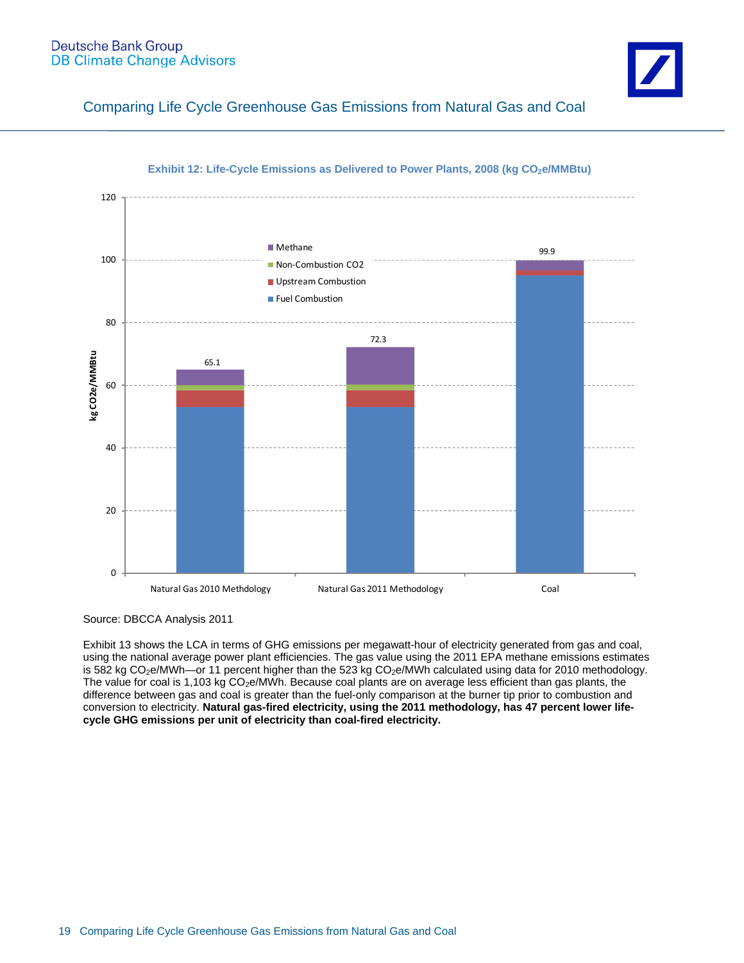#### **Deutsche Bank Group DB Climate Change Advisors**



Comparing Life Cycle Greenhouse Gas Emissions from Natural Gas and Coal



#### **Exhibit 12: Life-Cycle Emissions as Delivered to Power Plants, 2008 (kg CO<sub>2</sub>e/MMBtu)**

Source: DBCCA Analysis 2011

Exhibit 13 shows the LCA in terms of GHG emissions per megawatt-hour of electricity generated from gas and coal, using the national average power plant efficiencies. The gas value using the 2011 EPA methane emissions estimates is 582 kg CO<sub>2</sub>e/MWh—or 11 percent higher than the 523 kg CO<sub>2</sub>e/MWh calculated using data for 2010 methodology. The value for coal is 1,103 kg CO<sub>2</sub>e/MWh. Because coal plants are on average less efficient than gas plants, the difference between gas and coal is greater than the fuel-only comparison at the burner tip prior to combustion and conversion to electricity. **Natural gas-fired electricity, using the 2011 methodology, has 47 percent lower lifecycle GHG emissions per unit of electricity than coal-fired electricity.**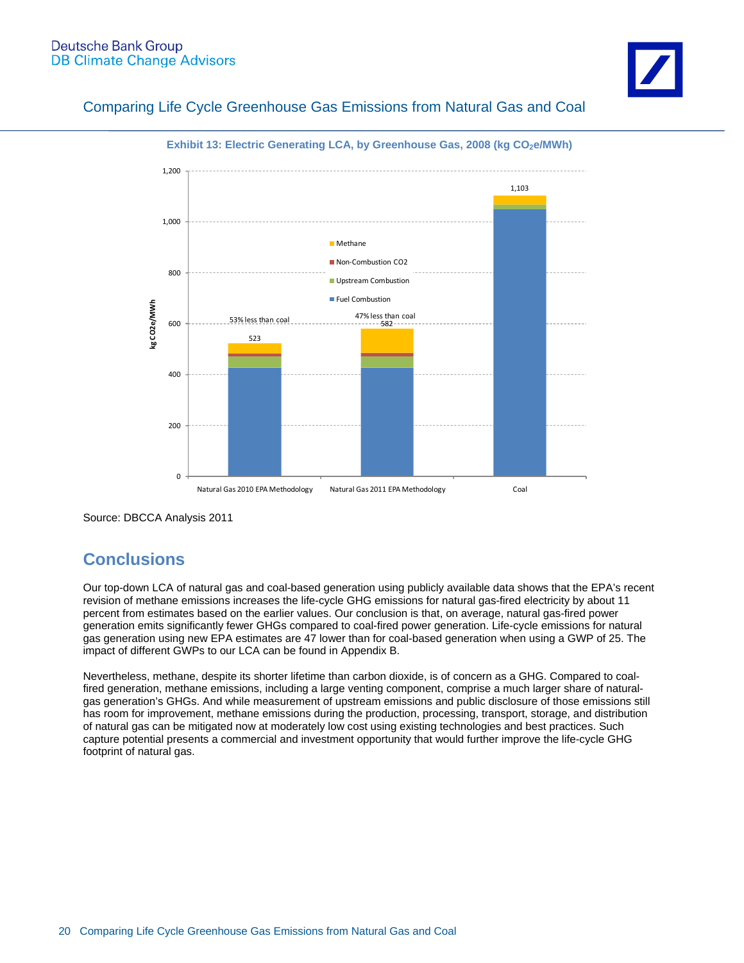



**Exhibit 13: Electric Generating LCA, by Greenhouse Gas, 2008 (kg CO<sub>2</sub>e/MWh)** 

Source: DBCCA Analysis 2011

## **Conclusions**

Our top-down LCA of natural gas and coal-based generation using publicly available data shows that the EPA's recent revision of methane emissions increases the life-cycle GHG emissions for natural gas-fired electricity by about 11 percent from estimates based on the earlier values. Our conclusion is that, on average, natural gas-fired power generation emits significantly fewer GHGs compared to coal-fired power generation. Life-cycle emissions for natural gas generation using new EPA estimates are 47 lower than for coal-based generation when using a GWP of 25. The impact of different GWPs to our LCA can be found in Appendix B.

Nevertheless, methane, despite its shorter lifetime than carbon dioxide, is of concern as a GHG. Compared to coalfired generation, methane emissions, including a large venting component, comprise a much larger share of naturalgas generation's GHGs. And while measurement of upstream emissions and public disclosure of those emissions still has room for improvement, methane emissions during the production, processing, transport, storage, and distribution of natural gas can be mitigated now at moderately low cost using existing technologies and best practices. Such capture potential presents a commercial and investment opportunity that would further improve the life-cycle GHG footprint of natural gas.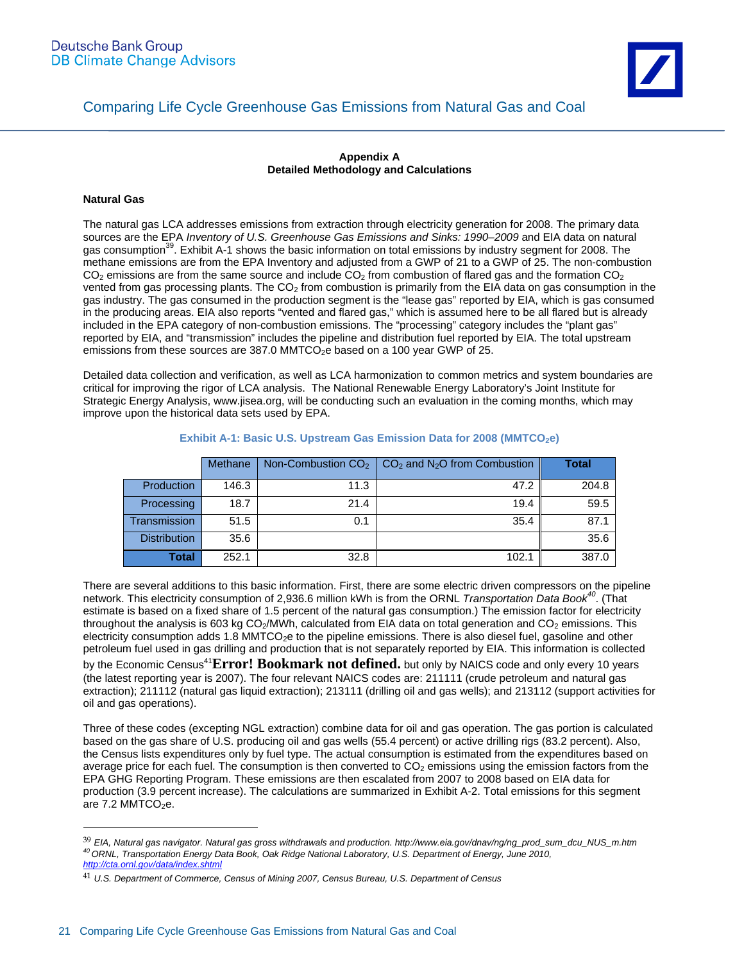#### **Appendix A Detailed Methodology and Calculations**

#### **Natural Gas**

 $\overline{a}$ 

The natural gas LCA addresses emissions from extraction through electricity generation for 2008. The primary data sources are the EPA *Inventory of U.S. Greenhouse Gas Emissions and Sinks: 1990–2009* and EIA data on natural gas consumption<sup>39</sup>. Exhibit A-1 shows the basic information on total emissions by industry segment for 2008. The methane emissions are from the EPA Inventory and adjusted from a GWP of 21 to a GWP of 25. The non-combustion  $CO<sub>2</sub>$  emissions are from the same source and include  $CO<sub>2</sub>$  from combustion of flared gas and the formation  $CO<sub>2</sub>$ vented from gas processing plants. The  $CO<sub>2</sub>$  from combustion is primarily from the EIA data on gas consumption in the gas industry. The gas consumed in the production segment is the "lease gas" reported by EIA, which is gas consumed in the producing areas. EIA also reports "vented and flared gas," which is assumed here to be all flared but is already included in the EPA category of non-combustion emissions. The "processing" category includes the "plant gas" reported by EIA, and "transmission" includes the pipeline and distribution fuel reported by EIA. The total upstream emissions from these sources are 387.0 MMTCO<sub>2</sub>e based on a 100 year GWP of 25.

Detailed data collection and verification, as well as LCA harmonization to common metrics and system boundaries are critical for improving the rigor of LCA analysis. The National Renewable Energy Laboratory's Joint Institute for Strategic Energy Analysis, www.jisea.org, will be conducting such an evaluation in the coming months, which may improve upon the historical data sets used by EPA.

|                     | <b>Methane</b> | Non-Combustion $CO2$ | $CO2$ and N <sub>2</sub> O from Combustion | Total |
|---------------------|----------------|----------------------|--------------------------------------------|-------|
| Production          | 146.3          | 11.3                 | 47.2                                       | 204.8 |
| Processing          | 18.7           | 21.4                 | 19.4                                       | 59.5  |
| <b>Transmission</b> | 51.5           | 0.1                  | 35.4                                       | 87.1  |
| <b>Distribution</b> | 35.6           |                      |                                            | 35.6  |
| <b>Total</b>        | 252.1          | 32.8                 | 102.1                                      | 387.0 |

**Exhibit A-1: Basic U.S. Upstream Gas Emission Data for 2008 (MMTCO<sub>2</sub>e)** 

There are several additions to this basic information. First, there are some electric driven compressors on the pipeline network. This electricity consumption of 2,936.6 million kWh is from the ORNL *Transportation Data Book<sup>40</sup>*. (That estimate is based on a fixed share of 1.5 percent of the natural gas consumption.) The emission factor for electricity throughout the analysis is 603 kg  $CO<sub>2</sub>/MWh$ , calculated from EIA data on total generation and  $CO<sub>2</sub>$  emissions. This electricity consumption adds 1.8 MMTCO<sub>2</sub>e to the pipeline emissions. There is also diesel fuel, gasoline and other petroleum fuel used in gas drilling and production that is not separately reported by EIA. This information is collected by the Economic Census<sup>41</sup>**Error! Bookmark not defined.** but only by NAICS code and only every 10 years (the latest reporting year is 2007). The four relevant NAICS codes are: 211111 (crude petroleum and natural gas extraction); 211112 (natural gas liquid extraction); 213111 (drilling oil and gas wells); and 213112 (support activities for oil and gas operations).

Three of these codes (excepting NGL extraction) combine data for oil and gas operation. The gas portion is calculated based on the gas share of U.S. producing oil and gas wells (55.4 percent) or active drilling rigs (83.2 percent). Also, the Census lists expenditures only by fuel type. The actual consumption is estimated from the expenditures based on average price for each fuel. The consumption is then converted to  $CO<sub>2</sub>$  emissions using the emission factors from the EPA GHG Reporting Program. These emissions are then escalated from 2007 to 2008 based on EIA data for production (3.9 percent increase). The calculations are summarized in Exhibit A-2. Total emissions for this segment are  $7.2$  MMTCO<sub>2</sub>e.

<sup>39</sup> *EIA, Natural gas navigator. Natural gas gross withdrawals and production. http://www.eia.gov/dnav/ng/ng\_prod\_sum\_dcu\_NUS\_m.htm 40 ORNL, Transportation Energy Data Book, Oak Ridge National Laboratory, U.S. Department of Energy, June 2010, http://cta.ornl.gov/data/index.shtml* 

<sup>41</sup> *U.S. Department of Commerce, Census of Mining 2007, Census Bureau, U.S. Department of Census*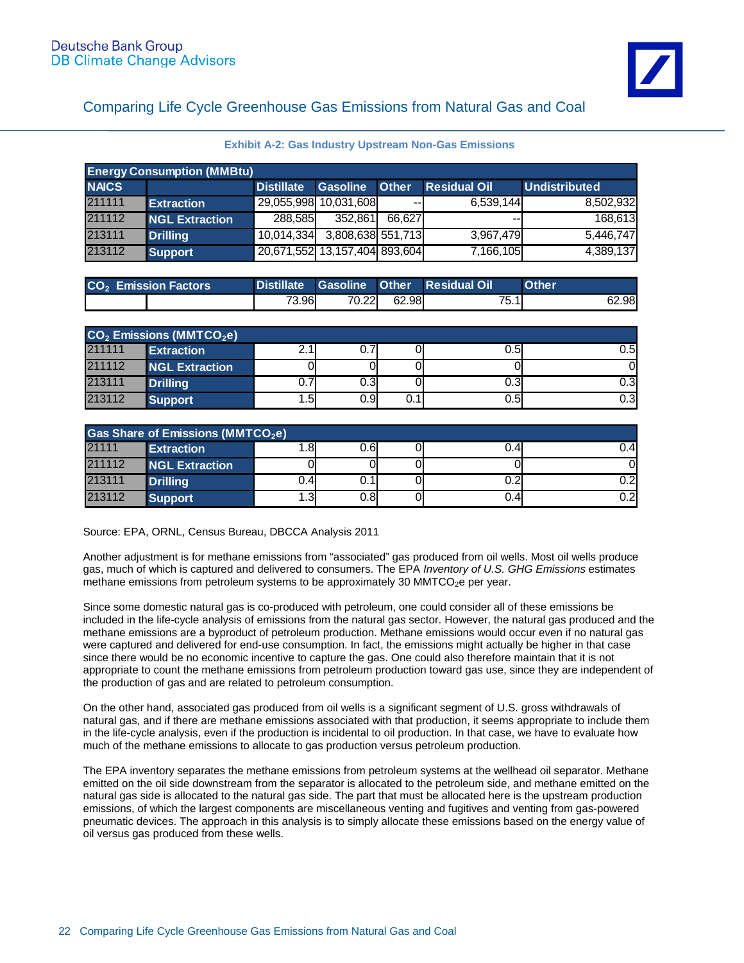**Exhibit A-2: Gas Industry Upstream Non-Gas Emissions** 

| <b>Energy Consumption (MMBtu)</b> |                       |                               |                   |                          |                          |                      |
|-----------------------------------|-----------------------|-------------------------------|-------------------|--------------------------|--------------------------|----------------------|
| <b>NAICS</b>                      |                       | <b>Distillate</b>             | Gasoline Other    |                          | <b>Residual Oil</b>      | <b>Undistributed</b> |
| 211111                            | <b>Extraction</b>     | 29,055,998 10,031,608         |                   | $\overline{\phantom{m}}$ | 6.539.144                | 8,502,932            |
| 211112                            | <b>NGL Extraction</b> | 288.585                       | 352,861           | 66.627                   | $\overline{\phantom{m}}$ | 168,613              |
| 213111                            | Drilling              | 10,014,334                    | 3,808,638 551,713 |                          | 3.967.479                | 5,446,747            |
| 213112                            | Support               | 20,671,552 13,157,404 893,604 |                   |                          | 7,166,105                | 4,389,137            |

| <b>CO<sub>2</sub></b> Emission Factors |       |       |       | Distillate Gasoline Other Residual Oil | <b>Other</b> |
|----------------------------------------|-------|-------|-------|----------------------------------------|--------------|
|                                        | 73.96 | 70.22 | 62.98 | 75.1                                   | 62.98        |

| $CO2$ Emissions (MMTCO <sub>2</sub> e) |                       |           |      |      |      |      |
|----------------------------------------|-----------------------|-----------|------|------|------|------|
| 211111                                 | <b>Extraction</b>     |           | 0.7  |      | 0.51 | 0.5I |
| 211112                                 | <b>NGL Extraction</b> |           |      |      |      |      |
| 213111                                 | <b>Drilling</b>       | ⇁<br>U. 7 | 0.31 |      | 0.31 | 0.31 |
| 213112                                 | <b>Support</b>        | l.5       | 0.9I | 0.1' | 0.51 | 0.31 |

| <b>Gas Share of Emissions (MMTCO<sub>2</sub>e)</b> |                       |        |      |  |      |            |
|----------------------------------------------------|-----------------------|--------|------|--|------|------------|
| 21111                                              | <b>Extraction</b>     | $.8\,$ | 0.61 |  | 0.4  | J.4        |
| 211112                                             | <b>NGL Extraction</b> |        |      |  |      |            |
| 213111                                             | <b>Drilling</b>       | J.41   | 0.11 |  | J.2l | ר ר        |
| 213112                                             | <b>Support</b>        | 1.3    | 0.81 |  | 0.41 | ר ר<br>U.Z |

Source: EPA, ORNL, Census Bureau, DBCCA Analysis 2011

Another adjustment is for methane emissions from "associated" gas produced from oil wells. Most oil wells produce gas, much of which is captured and delivered to consumers. The EPA *Inventory of U.S. GHG Emissions* estimates methane emissions from petroleum systems to be approximately 30 MMTCO<sub>2</sub>e per year.

Since some domestic natural gas is co-produced with petroleum, one could consider all of these emissions be included in the life-cycle analysis of emissions from the natural gas sector. However, the natural gas produced and the methane emissions are a byproduct of petroleum production. Methane emissions would occur even if no natural gas were captured and delivered for end-use consumption. In fact, the emissions might actually be higher in that case since there would be no economic incentive to capture the gas. One could also therefore maintain that it is not appropriate to count the methane emissions from petroleum production toward gas use, since they are independent of the production of gas and are related to petroleum consumption.

On the other hand, associated gas produced from oil wells is a significant segment of U.S. gross withdrawals of natural gas, and if there are methane emissions associated with that production, it seems appropriate to include them in the life-cycle analysis, even if the production is incidental to oil production. In that case, we have to evaluate how much of the methane emissions to allocate to gas production versus petroleum production.

The EPA inventory separates the methane emissions from petroleum systems at the wellhead oil separator. Methane emitted on the oil side downstream from the separator is allocated to the petroleum side, and methane emitted on the natural gas side is allocated to the natural gas side. The part that must be allocated here is the upstream production emissions, of which the largest components are miscellaneous venting and fugitives and venting from gas-powered pneumatic devices. The approach in this analysis is to simply allocate these emissions based on the energy value of oil versus gas produced from these wells.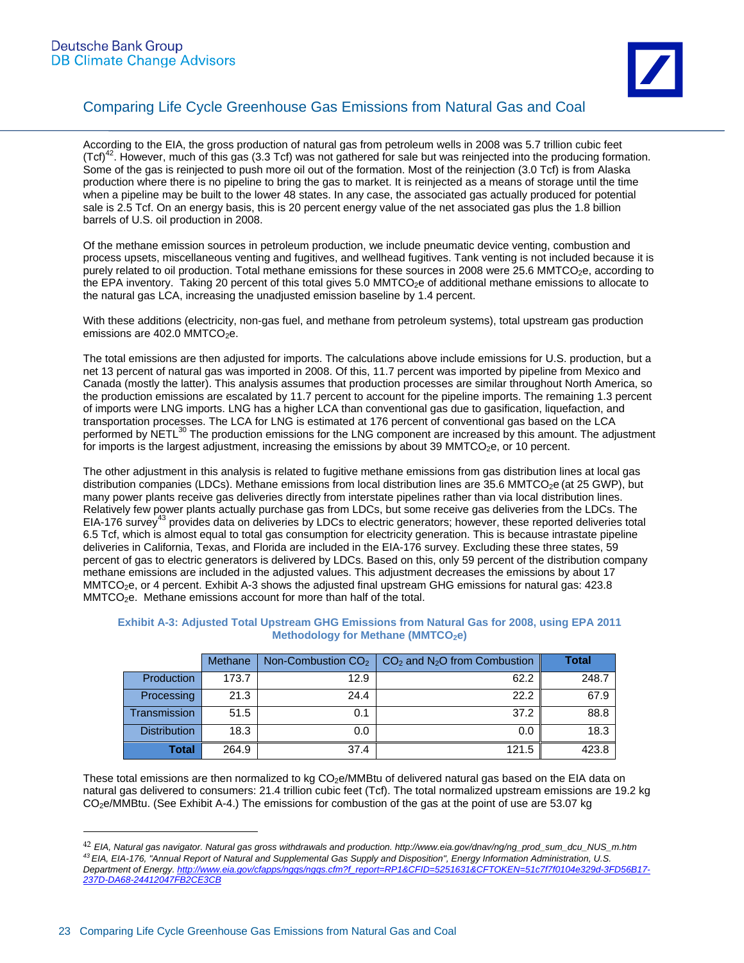

According to the EIA, the gross production of natural gas from petroleum wells in 2008 was 5.7 trillion cubic feet  $(Tcf)^{42}$ . However, much of this gas (3.3 Tcf) was not gathered for sale but was reinjected into the producing formation. Some of the gas is reinjected to push more oil out of the formation. Most of the reinjection (3.0 Tcf) is from Alaska production where there is no pipeline to bring the gas to market. It is reinjected as a means of storage until the time when a pipeline may be built to the lower 48 states. In any case, the associated gas actually produced for potential sale is 2.5 Tcf. On an energy basis, this is 20 percent energy value of the net associated gas plus the 1.8 billion barrels of U.S. oil production in 2008.

Of the methane emission sources in petroleum production, we include pneumatic device venting, combustion and process upsets, miscellaneous venting and fugitives, and wellhead fugitives. Tank venting is not included because it is purely related to oil production. Total methane emissions for these sources in 2008 were 25.6 MMTCO<sub>2</sub>e, according to the EPA inventory. Taking 20 percent of this total gives 5.0 MMTCO<sub>2</sub>e of additional methane emissions to allocate to the natural gas LCA, increasing the unadjusted emission baseline by 1.4 percent.

With these additions (electricity, non-gas fuel, and methane from petroleum systems), total upstream gas production emissions are  $402.0$  MMTCO<sub>2</sub>e.

The total emissions are then adjusted for imports. The calculations above include emissions for U.S. production, but a net 13 percent of natural gas was imported in 2008. Of this, 11.7 percent was imported by pipeline from Mexico and Canada (mostly the latter). This analysis assumes that production processes are similar throughout North America, so the production emissions are escalated by 11.7 percent to account for the pipeline imports. The remaining 1.3 percent of imports were LNG imports. LNG has a higher LCA than conventional gas due to gasification, liquefaction, and transportation processes. The LCA for LNG is estimated at 176 percent of conventional gas based on the LCA performed by NETL<sup>30</sup> The production emissions for the LNG component are increased by this amount. The adjustment for imports is the largest adjustment, increasing the emissions by about 39  $MMTCO<sub>2</sub>e$ , or 10 percent.

The other adjustment in this analysis is related to fugitive methane emissions from gas distribution lines at local gas distribution companies (LDCs). Methane emissions from local distribution lines are 35.6 MMTCO<sub>2</sub>e (at 25 GWP), but many power plants receive gas deliveries directly from interstate pipelines rather than via local distribution lines. Relatively few power plants actually purchase gas from LDCs, but some receive gas deliveries from the LDCs. The EIA-176 survey<sup>43</sup> provides data on deliveries by LDCs to electric generators; however, these reported deliveries total 6.5 Tcf, which is almost equal to total gas consumption for electricity generation. This is because intrastate pipeline deliveries in California, Texas, and Florida are included in the EIA-176 survey. Excluding these three states, 59 percent of gas to electric generators is delivered by LDCs. Based on this, only 59 percent of the distribution company methane emissions are included in the adjusted values. This adjustment decreases the emissions by about 17 MMTCO<sub>2</sub>e, or 4 percent. Exhibit A-3 shows the adjusted final upstream GHG emissions for natural gas: 423.8 MMTCO<sub>2</sub>e. Methane emissions account for more than half of the total.

|                     | <b>Methane</b> |      | Non-Combustion $CO2$   $CO2$ and N <sub>2</sub> O from Combustion | <b>Total</b> |
|---------------------|----------------|------|-------------------------------------------------------------------|--------------|
| <b>Production</b>   | 173.7          | 12.9 | 62.2                                                              | 248.7        |
| Processing          | 21.3           | 24.4 | 22.2                                                              | 67.9         |
| <b>Transmission</b> | 51.5           | 0.1  | 37.2                                                              | 88.8         |
| <b>Distribution</b> | 18.3           | 0.0  | 0.0                                                               | 18.3         |
| <b>Total</b>        | 264.9          | 37.4 | 121.5                                                             | 423.8        |

#### **Exhibit A-3: Adjusted Total Upstream GHG Emissions from Natural Gas for 2008, using EPA 2011 Methodology for Methane (MMTCO<sub>2</sub>e)**

These total emissions are then normalized to kg CO<sub>2</sub>e/MMBtu of delivered natural gas based on the EIA data on natural gas delivered to consumers: 21.4 trillion cubic feet (Tcf). The total normalized upstream emissions are 19.2 kg CO2e/MMBtu. (See Exhibit A-4.) The emissions for combustion of the gas at the point of use are 53.07 kg

<sup>42</sup> *EIA, Natural gas navigator. Natural gas gross withdrawals and production. http://www.eia.gov/dnav/ng/ng\_prod\_sum\_dcu\_NUS\_m.htm 43 EIA, EIA-176, "Annual Report of Natural and Supplemental Gas Supply and Disposition", Energy Information Administration, U.S. Department of Energy. http://www.eia.gov/cfapps/ngqs/ngqs.cfm?f\_report=RP1&CFID=5251631&CFTOKEN=51c7f7f0104e329d-3FD56B17- 237D-DA68-24412047FB2CE3CB*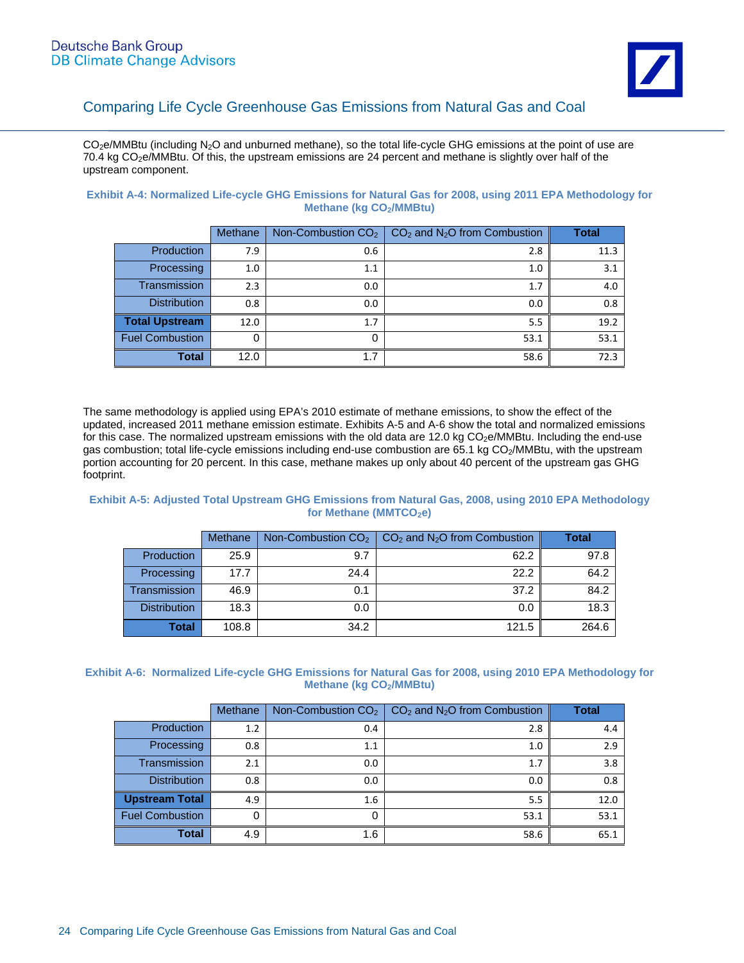$CO<sub>2</sub>e/MMB$ tu (including N<sub>2</sub>O and unburned methane), so the total life-cycle GHG emissions at the point of use are 70.4 kg CO<sub>2</sub>e/MMBtu. Of this, the upstream emissions are 24 percent and methane is slightly over half of the upstream component.

| Exhibit A-4: Normalized Life-cycle GHG Emissions for Natural Gas for 2008, using 2011 EPA Methodology for |                            |  |  |  |
|-----------------------------------------------------------------------------------------------------------|----------------------------|--|--|--|
|                                                                                                           | Methane ( $kg CO2/MMBtu$ ) |  |  |  |

|                        | Methane | Non-Combustion $CO2$ | $CO2$ and N <sub>2</sub> O from Combustion | <b>Total</b> |
|------------------------|---------|----------------------|--------------------------------------------|--------------|
| Production             | 7.9     | 0.6                  | 2.8                                        | 11.3         |
| Processing             | 1.0     | 1.1                  | 1.0                                        | 3.1          |
| <b>Transmission</b>    | 2.3     | 0.0                  | 1.7                                        | 4.0          |
| <b>Distribution</b>    | 0.8     | 0.0                  | 0.0                                        | 0.8          |
| <b>Total Upstream</b>  | 12.0    | 1.7                  | 5.5                                        | 19.2         |
| <b>Fuel Combustion</b> | 0       | 0                    | 53.1                                       | 53.1         |
| <b>Total</b>           | 12.0    | 1.7                  | 58.6                                       | 72.3         |

The same methodology is applied using EPA's 2010 estimate of methane emissions, to show the effect of the updated, increased 2011 methane emission estimate. Exhibits A-5 and A-6 show the total and normalized emissions for this case. The normalized upstream emissions with the old data are 12.0 kg CO<sub>2</sub>e/MMBtu. Including the end-use gas combustion; total life-cycle emissions including end-use combustion are 65.1 kg CO<sub>2</sub>/MMBtu, with the upstream portion accounting for 20 percent. In this case, methane makes up only about 40 percent of the upstream gas GHG footprint.

#### **Exhibit A-5: Adjusted Total Upstream GHG Emissions from Natural Gas, 2008, using 2010 EPA Methodology**  for Methane (MMTCO<sub>2</sub>e)

|                     | Methane |      | Non-Combustion $CO2$   $CO2$ and N <sub>2</sub> O from Combustion | <b>Total</b> |
|---------------------|---------|------|-------------------------------------------------------------------|--------------|
| <b>Production</b>   | 25.9    | 9.7  | 62.2                                                              | 97.8         |
| Processing          | 17.7    | 24.4 | 22.2                                                              | 64.2         |
| Transmission        | 46.9    | 0.1  | 37.2                                                              | 84.2         |
| <b>Distribution</b> | 18.3    | 0.0  | 0.0                                                               | 18.3         |
| Total               | 108.8   | 34.2 | 121.5                                                             | 264.6        |

#### **Exhibit A-6: Normalized Life-cycle GHG Emissions for Natural Gas for 2008, using 2010 EPA Methodology for Methane (kg CO<sub>2</sub>/MMBtu)**

|                        | Methane | Non-Combustion CO <sub>2</sub> | $CO2$ and N <sub>2</sub> O from Combustion | <b>Total</b> |
|------------------------|---------|--------------------------------|--------------------------------------------|--------------|
| Production             | 1.2     | 0.4                            | 2.8                                        | 4.4          |
| Processing             | 0.8     | 1.1                            | 1.0                                        | 2.9          |
| <b>Transmission</b>    | 2.1     | 0.0                            | 1.7                                        | 3.8          |
| <b>Distribution</b>    | 0.8     | 0.0                            | 0.0                                        | 0.8          |
| <b>Upstream Total</b>  | 4.9     | 1.6                            | 5.5                                        | 12.0         |
| <b>Fuel Combustion</b> |         | 0                              | 53.1                                       | 53.1         |
| <b>Total</b>           | 4.9     | 1.6                            | 58.6                                       | 65.1         |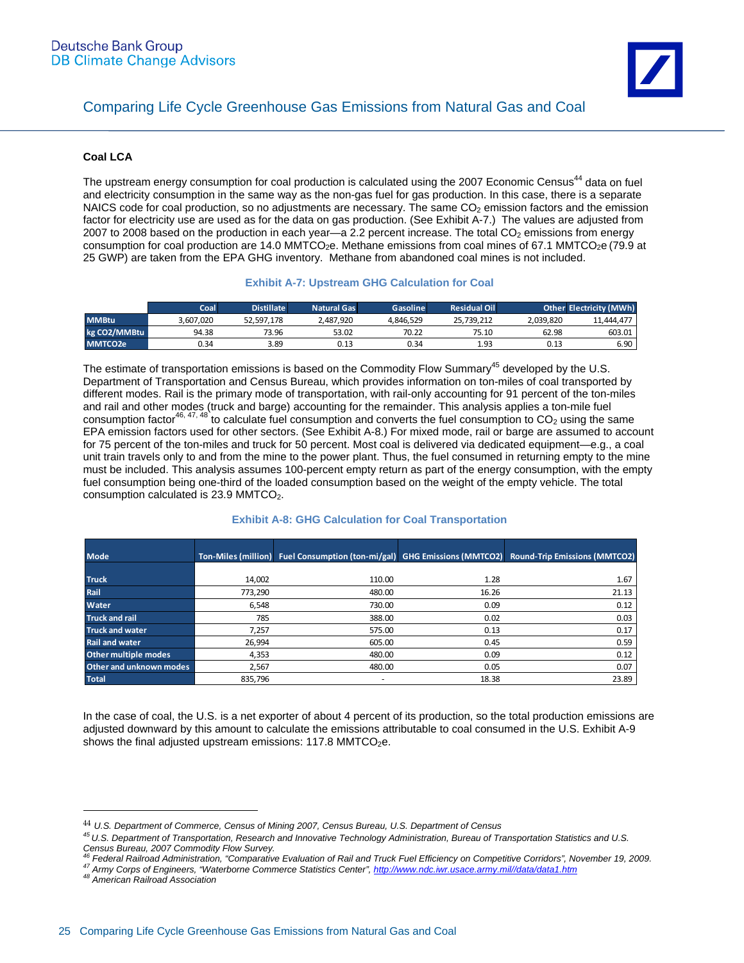#### **Coal LCA**

The upstream energy consumption for coal production is calculated using the 2007 Economic Census<sup>44</sup> data on fuel and electricity consumption in the same way as the non-gas fuel for gas production. In this case, there is a separate NAICS code for coal production, so no adjustments are necessary. The same CO<sub>2</sub> emission factors and the emission factor for electricity use are used as for the data on gas production. (See Exhibit A-7.) The values are adjusted from 2007 to 2008 based on the production in each year—a 2.2 percent increase. The total CO<sub>2</sub> emissions from energy consumption for coal production are 14.0 MMTCO<sub>2</sub>e. Methane emissions from coal mines of 67.1 MMTCO<sub>2</sub>e (79.9 at 25 GWP) are taken from the EPA GHG inventory. Methane from abandoned coal mines is not included.

#### **Exhibit A-7: Upstream GHG Calculation for Coal**

|                     | Coal      | <b>Distillate</b> | <b>Natural Gas</b> | Gasoline  | <b>Residual Oil</b> |           | <b>Other Electricity (MWh)</b> |
|---------------------|-----------|-------------------|--------------------|-----------|---------------------|-----------|--------------------------------|
| <b>MMBtu</b>        | 3.607.020 | 52.597.178        | 2.487.920          | 4.846.529 | 25.739.212          | 2.039.820 | 11.444.477                     |
| kg CO2/MMBtu        | 94.38     | 73.96             | 53.02              | 70.22     | 75.10               | 62.98     | 603.01                         |
| MMTCO <sub>2e</sub> | 0.34      | 3.89              | 0.13               | 0.34      | 1.93                | 0.13      | 6.90                           |

The estimate of transportation emissions is based on the Commodity Flow Summary<sup>45</sup> developed by the U.S. Department of Transportation and Census Bureau, which provides information on ton-miles of coal transported by different modes. Rail is the primary mode of transportation, with rail-only accounting for 91 percent of the ton-miles and rail and other modes (truck and barge) accounting for the remainder. This analysis applies a ton-mile fuel consumption factor<sup>46, 47, 48</sup> to calculate fuel consumption and converts the fuel consumption to  $CO_2$  using the same EPA emission factors used for other sectors. (See Exhibit A-8.) For mixed mode, rail or barge are assumed to account for 75 percent of the ton-miles and truck for 50 percent. Most coal is delivered via dedicated equipment—e.g., a coal unit train travels only to and from the mine to the power plant. Thus, the fuel consumed in returning empty to the mine must be included. This analysis assumes 100-percent empty return as part of the energy consumption, with the empty fuel consumption being one-third of the loaded consumption based on the weight of the empty vehicle. The total consumption calculated is 23.9 MMTCO<sub>2</sub>.

| <b>Mode</b>             |         |                          |       | Ton-Miles (million) Fuel Consumption (ton-mi/gal) GHG Emissions (MMTCO2) Round-Trip Emissions (MMTCO2) |
|-------------------------|---------|--------------------------|-------|--------------------------------------------------------------------------------------------------------|
|                         |         |                          |       |                                                                                                        |
| <b>Truck</b>            | 14,002  | 110.00                   | 1.28  | 1.67                                                                                                   |
| Rail                    | 773.290 | 480.00                   | 16.26 | 21.13                                                                                                  |
| <b>Water</b>            | 6.548   | 730.00                   | 0.09  | 0.12                                                                                                   |
| <b>Truck and rail</b>   | 785     | 388.00                   | 0.02  | 0.03                                                                                                   |
| <b>Truck and water</b>  | 7.257   | 575.00                   | 0.13  | 0.17                                                                                                   |
| <b>Rail and water</b>   | 26,994  | 605.00                   | 0.45  | 0.59                                                                                                   |
| Other multiple modes    | 4,353   | 480.00                   | 0.09  | 0.12                                                                                                   |
| Other and unknown modes | 2,567   | 480.00                   | 0.05  | 0.07                                                                                                   |
| <b>Total</b>            | 835.796 | $\overline{\phantom{a}}$ | 18.38 | 23.89                                                                                                  |

#### **Exhibit A-8: GHG Calculation for Coal Transportation**

In the case of coal, the U.S. is a net exporter of about 4 percent of its production, so the total production emissions are adjusted downward by this amount to calculate the emissions attributable to coal consumed in the U.S. Exhibit A-9 shows the final adjusted upstream emissions:  $117.8 \text{ MMTCO}_2$ e.

<sup>44</sup> *U.S. Department of Commerce, Census of Mining 2007, Census Bureau, U.S. Department of Census*

*<sup>45</sup> U.S. Department of Transportation, Research and Innovative Technology Administration, Bureau of Transportation Statistics and U.S. Census Bureau, 2007 Commodity Flow Survey.* 

<sup>47</sup> Army Corps of Engineers, "Waterborne Commerce Statistics Center", http://www.ndc.iwr.usace.army.mil//data/data1.htm<br><sup>48</sup> American Railroad Association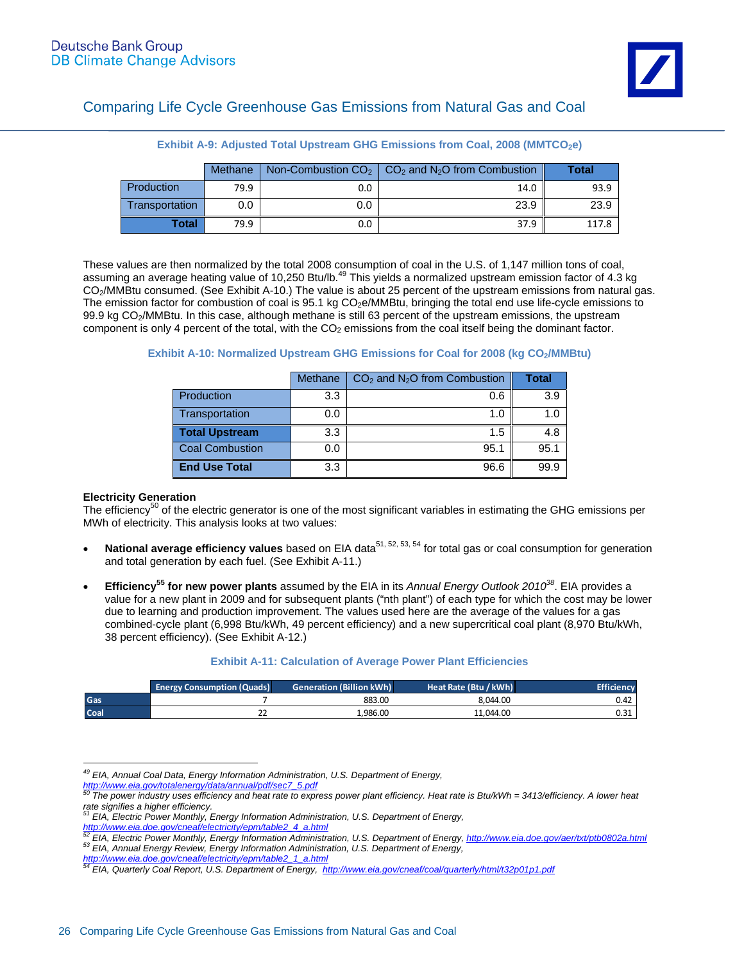|                | Methane |     | Non-Combustion $CO2$   $CO2$ and N <sub>2</sub> O from Combustion | Total |
|----------------|---------|-----|-------------------------------------------------------------------|-------|
| Production     | 79.9    | 0.0 | 14.0                                                              | 93.9  |
| Transportation | 0.0     | 0.0 | 23.9                                                              | 23.9  |
| Total          | 79.9    | 0.0 | 37.9                                                              | 117.8 |

**Exhibit A-9: Adjusted Total Upstream GHG Emissions from Coal, 2008 (MMTCO<sub>2</sub>e)** 

These values are then normalized by the total 2008 consumption of coal in the U.S. of 1,147 million tons of coal, assuming an average heating value of 10,250 Btu/lb.<sup>49</sup> This yields a normalized upstream emission factor of 4.3 kg CO2/MMBtu consumed. (See Exhibit A-10.) The value is about 25 percent of the upstream emissions from natural gas. The emission factor for combustion of coal is 95.1 kg CO<sub>2</sub>e/MMBtu, bringing the total end use life-cycle emissions to 99.9 kg CO2/MMBtu. In this case, although methane is still 63 percent of the upstream emissions, the upstream component is only 4 percent of the total, with the  $CO<sub>2</sub>$  emissions from the coal itself being the dominant factor.

#### **Exhibit A-10: Normalized Upstream GHG Emissions for Coal for 2008 (kg CO<sub>2</sub>/MMBtu)**

|                        | Methane | $CO2$ and N <sub>2</sub> O from Combustion | <b>Total</b> |
|------------------------|---------|--------------------------------------------|--------------|
| Production             | 3.3     | 0.6                                        | 3.9          |
| Transportation         | 0.0     | 1.0                                        | 1.0          |
| <b>Total Upstream</b>  | 3.3     | 1.5                                        | 4.8          |
| <b>Coal Combustion</b> | 0.0     | 95.1                                       | 95.1         |
| <b>End Use Total</b>   | 3.3     | 96.6                                       | 99.9         |

#### **Electricity Generation**

The efficiency<sup>50</sup> of the electric generator is one of the most significant variables in estimating the GHG emissions per MWh of electricity. This analysis looks at two values:

- **National average efficiency values** based on EIA data<sup>51, 52, 53, 54</sup> for total gas or coal consumption for generation and total generation by each fuel. (See Exhibit A-11.)
- **Efficiency55 for new power plants** assumed by the EIA in its *Annual Energy Outlook 201038*. EIA provides a value for a new plant in 2009 and for subsequent plants ("nth plant") of each type for which the cost may be lower due to learning and production improvement. The values used here are the average of the values for a gas combined-cycle plant (6,998 Btu/kWh, 49 percent efficiency) and a new supercritical coal plant (8,970 Btu/kWh, 38 percent efficiency). (See Exhibit A-12.)

#### **Exhibit A-11: Calculation of Average Power Plant Efficiencies**

|             | <b>Energy Consumption (Quads)</b> | <b>Generation (Billion kWh)</b> | Heat Rate (Btu / kWh) | <b>Efficiency</b> |
|-------------|-----------------------------------|---------------------------------|-----------------------|-------------------|
| Gas         |                                   | 883.00                          | 8.044.00              | 0.42              |
| <b>Coal</b> | <u>__</u>                         | 986.00 د.                       | 11.044.00             | 0.31              |

 $\overline{a}$ *49 EIA, Annual Coal Data, Energy Information Administration, U.S. Department of Energy,*

*http://www.eia.gov/totalenergy/data/annual/pdf/sec7\_5.pdf 50 The power industry uses efficiency and heat rate to express power plant efficiency. Heat rate is Btu/kWh = 3413/efficiency. A lower heat* 

*rate signifies a higher efficiency. 51 EIA, Electric Power Monthly, Energy Information Administration, U.S. Department of Energy,* 

http://www.eia.doe.gov/cneaf/electricity/epm/table2\_4\_a.html<br>
EIA, Electric Power Monthly, Energy Information Administration, U.S. Department of Energy, http://www.eia.doe.gov/aer/txt/ptb0802a.html<br>
<sup>53</sup> EIA, Electric Powe

*http://www.eia.doe.gov/cneaf/electricity/epm/table2\_1\_a.html 54 EIA, Quarterly Coal Report, U.S. Department of Energy, http://www.eia.gov/cneaf/coal/quarterly/html/t32p01p1.pdf*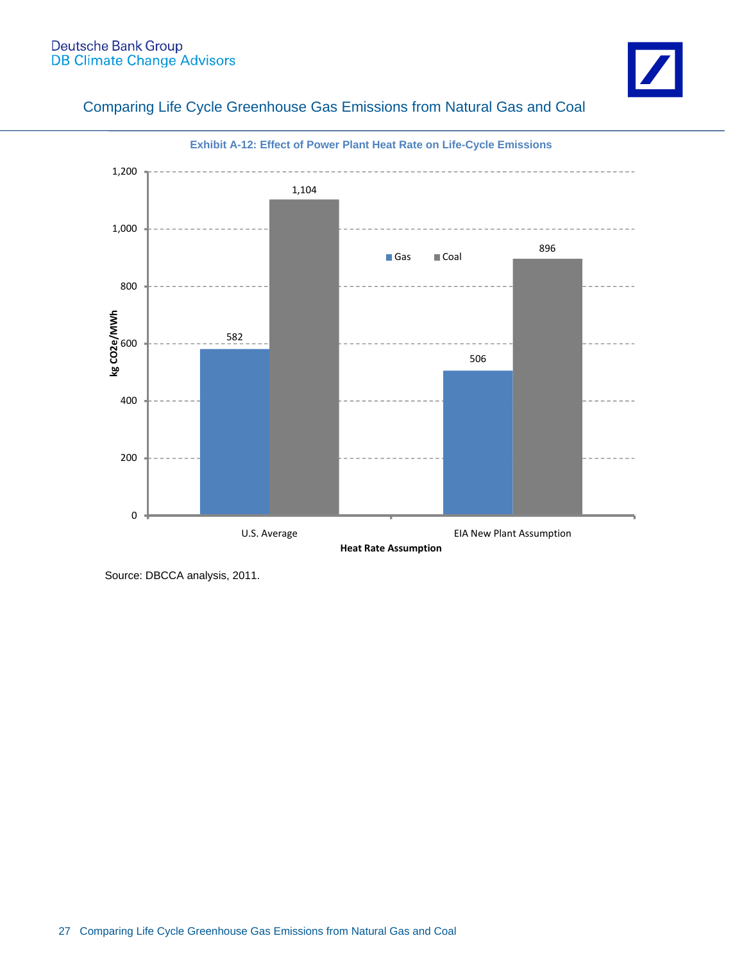# Deutsche Bank Group<br>DB Climate Change Advisors



### Comparing Life Cycle Greenhouse Gas Emissions from Natural Gas and Coal



 **Exhibit A-12: Effect of Power Plant Heat Rate on Life-Cycle Emissions** 

Source: DBCCA analysis, 2011.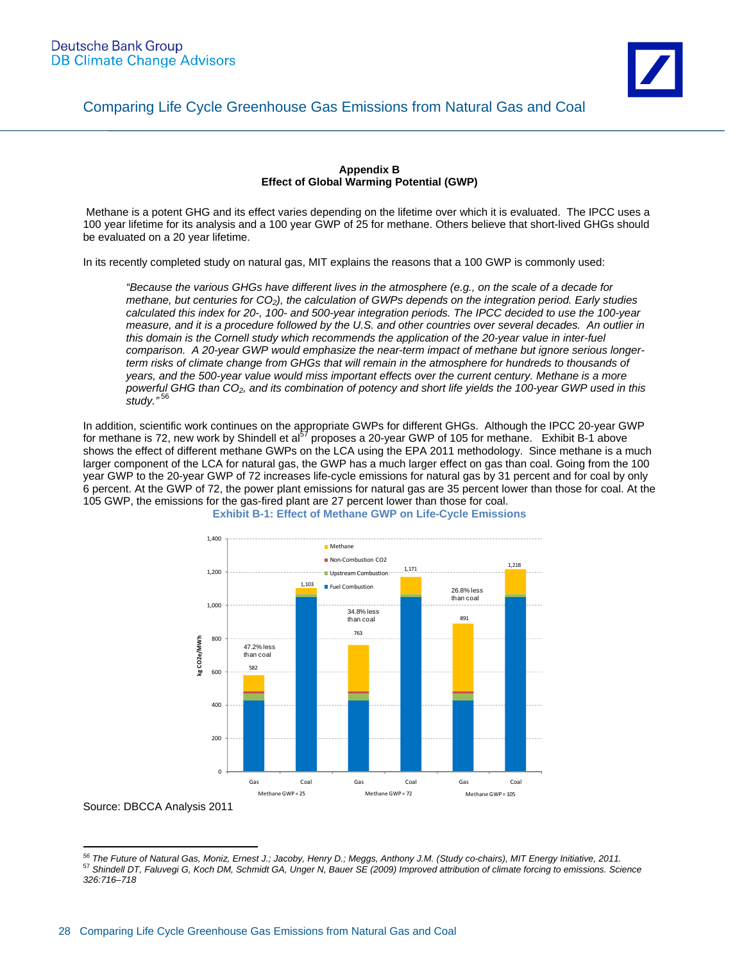

#### **Appendix B Effect of Global Warming Potential (GWP)**

 Methane is a potent GHG and its effect varies depending on the lifetime over which it is evaluated. The IPCC uses a 100 year lifetime for its analysis and a 100 year GWP of 25 for methane. Others believe that short-lived GHGs should be evaluated on a 20 year lifetime.

In its recently completed study on natural gas, MIT explains the reasons that a 100 GWP is commonly used:

*"Because the various GHGs have different lives in the atmosphere (e.g., on the scale of a decade for methane, but centuries for CO2), the calculation of GWPs depends on the integration period. Early studies calculated this index for 20-, 100- and 500-year integration periods. The IPCC decided to use the 100-year measure, and it is a procedure followed by the U.S. and other countries over several decades. An outlier in*  this domain is the Cornell study which recommends the application of the 20-year value in inter-fuel *comparison. A 20-year GWP would emphasize the near-term impact of methane but ignore serious longer*term risks of climate change from GHGs that will remain in the atmosphere for hundreds to thousands of *years, and the 500-year value would miss important effects over the current century. Methane is a more powerful GHG than CO2, and its combination of potency and short life yields the 100-year GWP used in this study."*<sup>56</sup>

In addition, scientific work continues on the appropriate GWPs for different GHGs. Although the IPCC 20-year GWP for methane is 72, new work by Shindell et al<sup>37</sup> proposes a 20-year GWP of 105 for methane. Exhibit B-1 above shows the effect of different methane GWPs on the LCA using the EPA 2011 methodology. Since methane is a much larger component of the LCA for natural gas, the GWP has a much larger effect on gas than coal. Going from the 100 year GWP to the 20-year GWP of 72 increases life-cycle emissions for natural gas by 31 percent and for coal by only 6 percent. At the GWP of 72, the power plant emissions for natural gas are 35 percent lower than those for coal. At the 105 GWP, the emissions for the gas-fired plant are 27 percent lower than those for coal.



**Exhibit B-1: Effect of Methane GWP on Life-Cycle Emissions** 

 $\overline{a}$ <sup>56</sup> The Future of Natural Gas, Moniz, Ernest J.; Jacoby, Henry D.; Meggs, Anthony J.M. (Study co-chairs), MIT Energy Initiative, 2011.<br><sup>57</sup> Shindell DT, Faluvegi G, Koch DM, Schmidt GA, Unger N, Bauer SE (2009) Improved a *326:716–718*